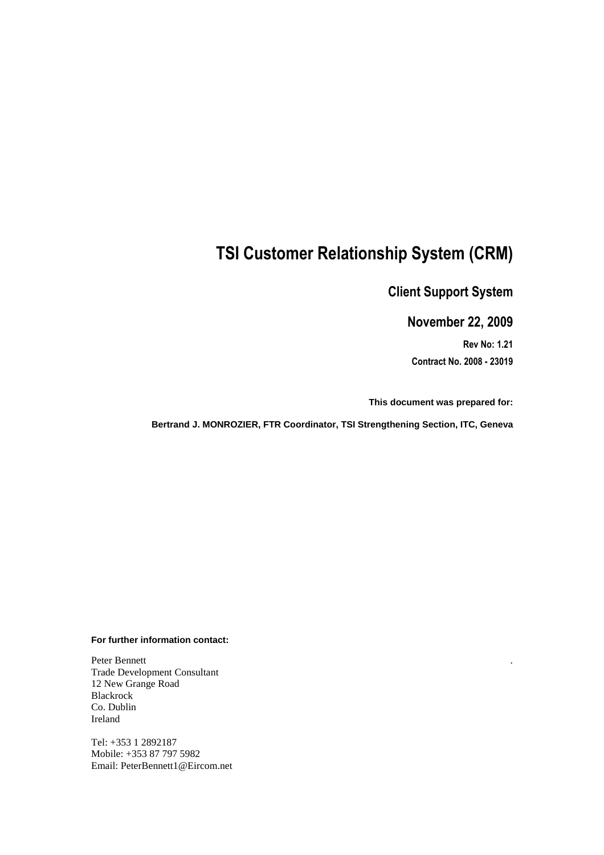# **TSI Customer Relationship System (CRM)**

# **Client Support System**

# **November 22, 2009**

**Rev No: 1.21 Contract No. 2008 - 23019** 

.

**This document was prepared for:** 

**Bertrand J. MONROZIER, FTR Coordinator, TSI Strengthening Section, ITC, Geneva** 

#### **For further information contact:**

Peter Bennett Trade Development Consultant 12 New Grange Road Blackrock Co. Dublin Ireland

Tel: +353 1 2892187 Mobile: +353 87 797 5982 Email: PeterBennett1@Eircom.net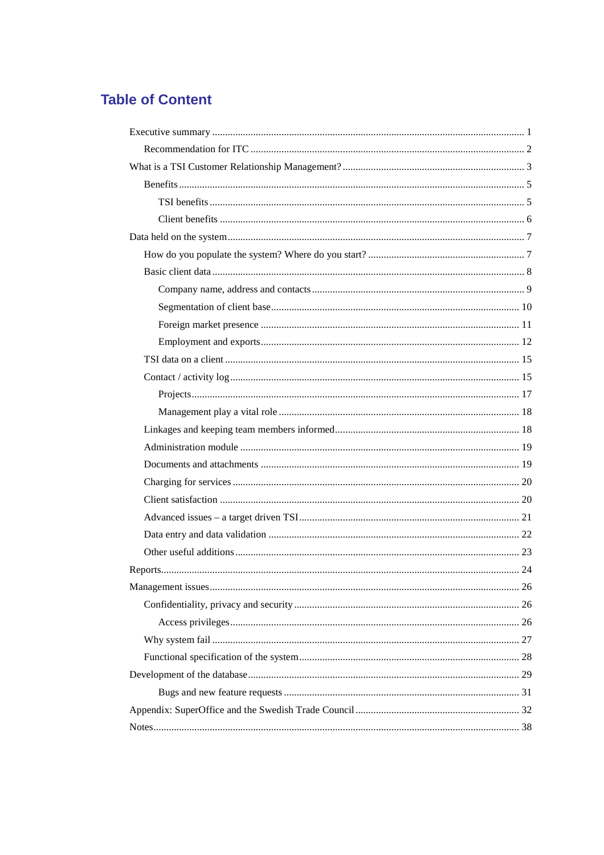# **Table of Content**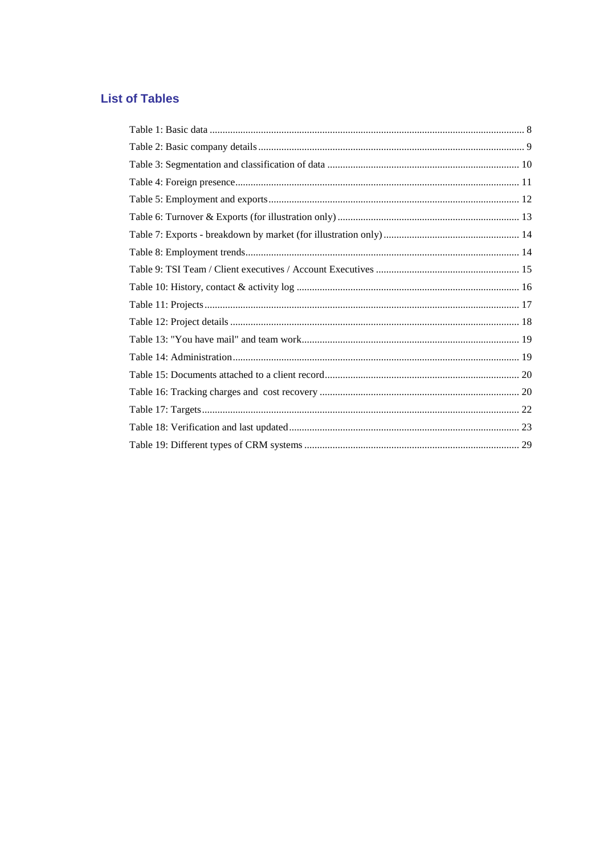# **List of Tables**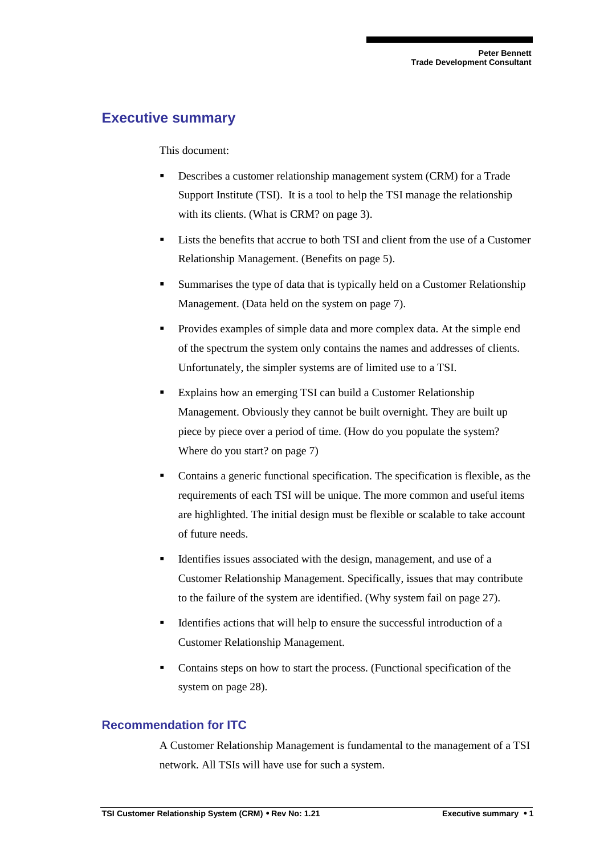# **Executive summary**

#### This document:

- Describes a customer relationship management system (CRM) for a Trade Support Institute (TSI). It is a tool to help the TSI manage the relationship with its clients. (What is CRM? on page 3).
- Lists the benefits that accrue to both TSI and client from the use of a Customer Relationship Management. (Benefits on page 5).
- Summarises the type of data that is typically held on a Customer Relationship Management. (Data held on the system on page 7).
- Provides examples of simple data and more complex data. At the simple end of the spectrum the system only contains the names and addresses of clients. Unfortunately, the simpler systems are of limited use to a TSI.
- Explains how an emerging TSI can build a Customer Relationship Management. Obviously they cannot be built overnight. They are built up piece by piece over a period of time. (How do you populate the system? Where do you start? on page 7)
- Contains a generic functional specification. The specification is flexible, as the requirements of each TSI will be unique. The more common and useful items are highlighted. The initial design must be flexible or scalable to take account of future needs.
- Identifies issues associated with the design, management, and use of a Customer Relationship Management. Specifically, issues that may contribute to the failure of the system are identified. (Why system fail on page 27).
- Identifies actions that will help to ensure the successful introduction of a Customer Relationship Management.
- Contains steps on how to start the process. (Functional specification of the system on page 28).

## **Recommendation for ITC**

A Customer Relationship Management is fundamental to the management of a TSI network. All TSIs will have use for such a system.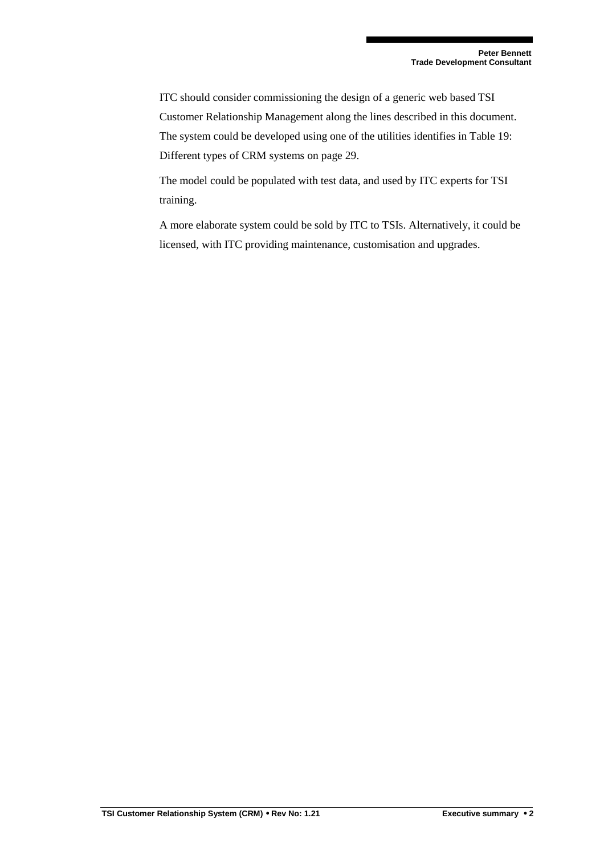ITC should consider commissioning the design of a generic web based TSI Customer Relationship Management along the lines described in this document. The system could be developed using one of the utilities identifies in Table 19: Different types of CRM systems on page 29.

The model could be populated with test data, and used by ITC experts for TSI training.

A more elaborate system could be sold by ITC to TSIs. Alternatively, it could be licensed, with ITC providing maintenance, customisation and upgrades.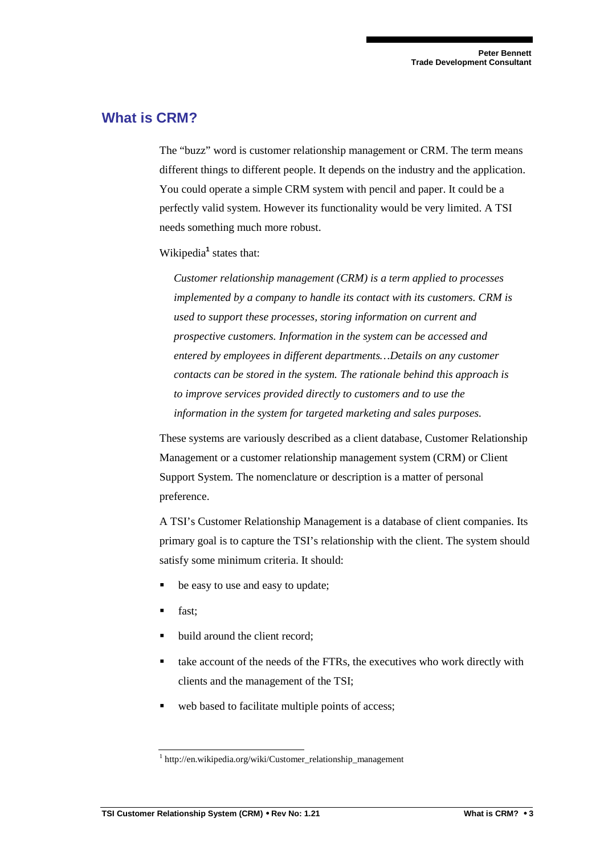# **What is CRM?**

The "buzz" word is customer relationship management or CRM. The term means different things to different people. It depends on the industry and the application. You could operate a simple CRM system with pencil and paper. It could be a perfectly valid system. However its functionality would be very limited. A TSI needs something much more robust.

Wikipedia<sup>1</sup> states that:

*Customer relationship management (CRM) is a term applied to processes implemented by a company to handle its contact with its customers. CRM is used to support these processes, storing information on current and prospective customers. Information in the system can be accessed and entered by employees in different departments…Details on any customer contacts can be stored in the system. The rationale behind this approach is to improve services provided directly to customers and to use the information in the system for targeted marketing and sales purposes.* 

These systems are variously described as a client database, Customer Relationship Management or a customer relationship management system (CRM) or Client Support System. The nomenclature or description is a matter of personal preference.

A TSI's Customer Relationship Management is a database of client companies. Its primary goal is to capture the TSI's relationship with the client. The system should satisfy some minimum criteria. It should:

- be easy to use and easy to update;
- fast;
- build around the client record;
- take account of the needs of the FTRs, the executives who work directly with clients and the management of the TSI;
- web based to facilitate multiple points of access;

<sup>1</sup> http://en.wikipedia.org/wiki/Customer\_relationship\_management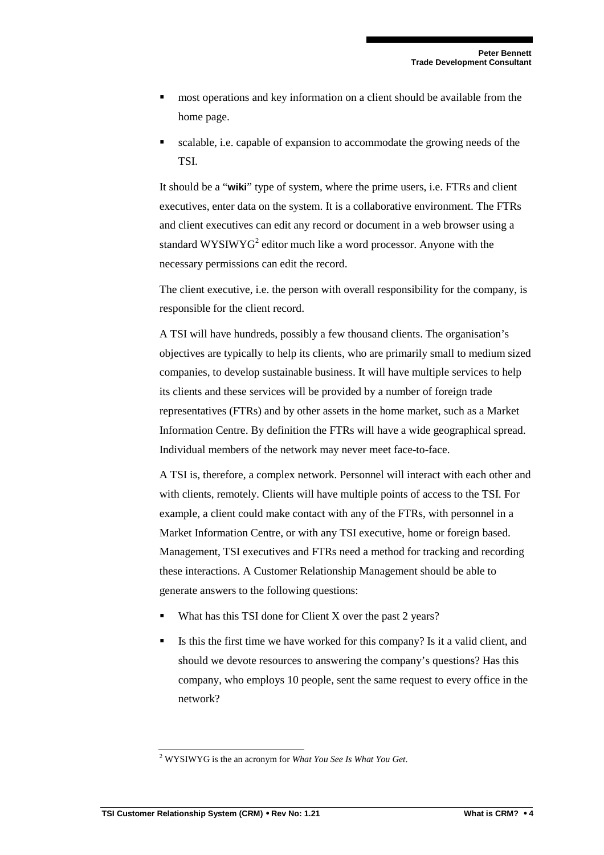- most operations and key information on a client should be available from the home page.
- scalable, i.e. capable of expansion to accommodate the growing needs of the TSI.

It should be a "**wiki**" type of system, where the prime users, i.e. FTRs and client executives, enter data on the system. It is a collaborative environment. The FTRs and client executives can edit any record or document in a web browser using a standard WYSIWYG<sup>2</sup> editor much like a word processor. Anyone with the necessary permissions can edit the record.

The client executive, i.e. the person with overall responsibility for the company, is responsible for the client record.

A TSI will have hundreds, possibly a few thousand clients. The organisation's objectives are typically to help its clients, who are primarily small to medium sized companies, to develop sustainable business. It will have multiple services to help its clients and these services will be provided by a number of foreign trade representatives (FTRs) and by other assets in the home market, such as a Market Information Centre. By definition the FTRs will have a wide geographical spread. Individual members of the network may never meet face-to-face.

A TSI is, therefore, a complex network. Personnel will interact with each other and with clients, remotely. Clients will have multiple points of access to the TSI. For example, a client could make contact with any of the FTRs, with personnel in a Market Information Centre, or with any TSI executive, home or foreign based. Management, TSI executives and FTRs need a method for tracking and recording these interactions. A Customer Relationship Management should be able to generate answers to the following questions:

- What has this TSI done for Client X over the past 2 years?
- Is this the first time we have worked for this company? Is it a valid client, and should we devote resources to answering the company's questions? Has this company, who employs 10 people, sent the same request to every office in the network?

<sup>2</sup> WYSIWYG is the an acronym for *What You See Is What You Get*.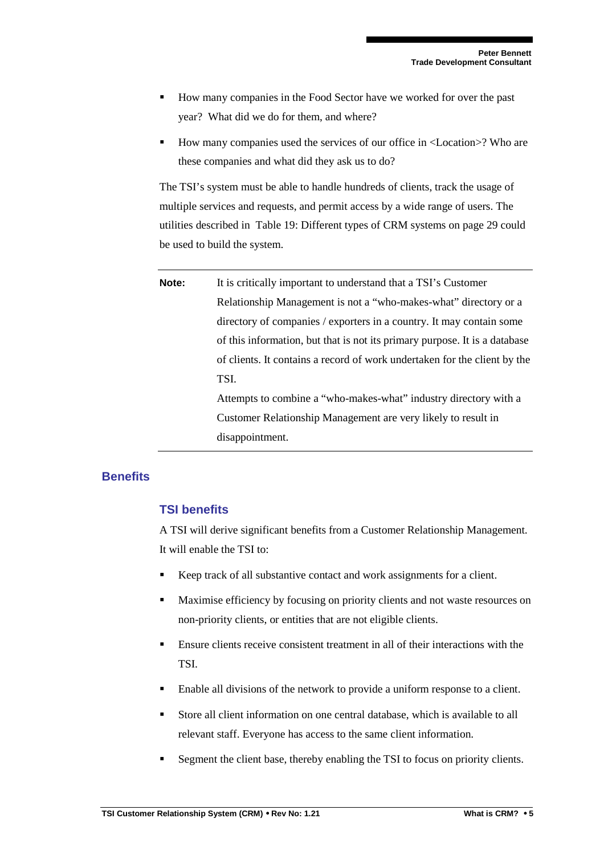- How many companies in the Food Sector have we worked for over the past year? What did we do for them, and where?
- How many companies used the services of our office in <Location>? Who are these companies and what did they ask us to do?

The TSI's system must be able to handle hundreds of clients, track the usage of multiple services and requests, and permit access by a wide range of users. The utilities described in Table 19: Different types of CRM systems on page 29 could be used to build the system.

**Note:** It is critically important to understand that a TSI's Customer Relationship Management is not a "who-makes-what" directory or a directory of companies / exporters in a country. It may contain some of this information, but that is not its primary purpose. It is a database of clients. It contains a record of work undertaken for the client by the TSI. Attempts to combine a "who-makes-what" industry directory with a Customer Relationship Management are very likely to result in disappointment.

#### **Benefits**

## **TSI benefits**

A TSI will derive significant benefits from a Customer Relationship Management. It will enable the TSI to:

- Keep track of all substantive contact and work assignments for a client.
- Maximise efficiency by focusing on priority clients and not waste resources on non-priority clients, or entities that are not eligible clients.
- Ensure clients receive consistent treatment in all of their interactions with the TSI.
- Enable all divisions of the network to provide a uniform response to a client.
- Store all client information on one central database, which is available to all relevant staff. Everyone has access to the same client information.
- Segment the client base, thereby enabling the TSI to focus on priority clients.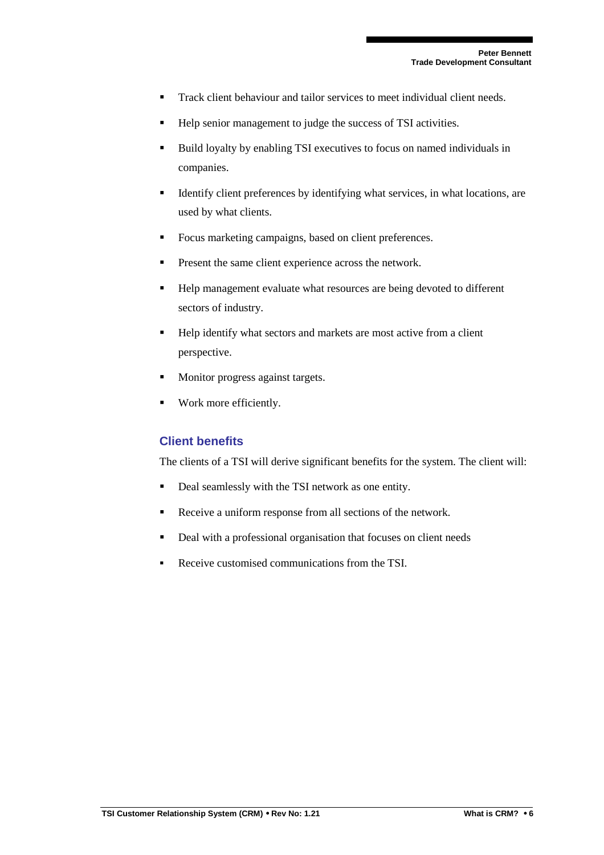- Track client behaviour and tailor services to meet individual client needs.
- Help senior management to judge the success of TSI activities.
- Build loyalty by enabling TSI executives to focus on named individuals in companies.
- Identify client preferences by identifying what services, in what locations, are used by what clients.
- **Focus marketing campaigns, based on client preferences.**
- **Present the same client experience across the network.**
- Help management evaluate what resources are being devoted to different sectors of industry.
- Help identify what sectors and markets are most active from a client perspective.
- **Monitor progress against targets.**
- Work more efficiently.

## **Client benefits**

The clients of a TSI will derive significant benefits for the system. The client will:

- Deal seamlessly with the TSI network as one entity.
- Receive a uniform response from all sections of the network.
- Deal with a professional organisation that focuses on client needs
- Receive customised communications from the TSI.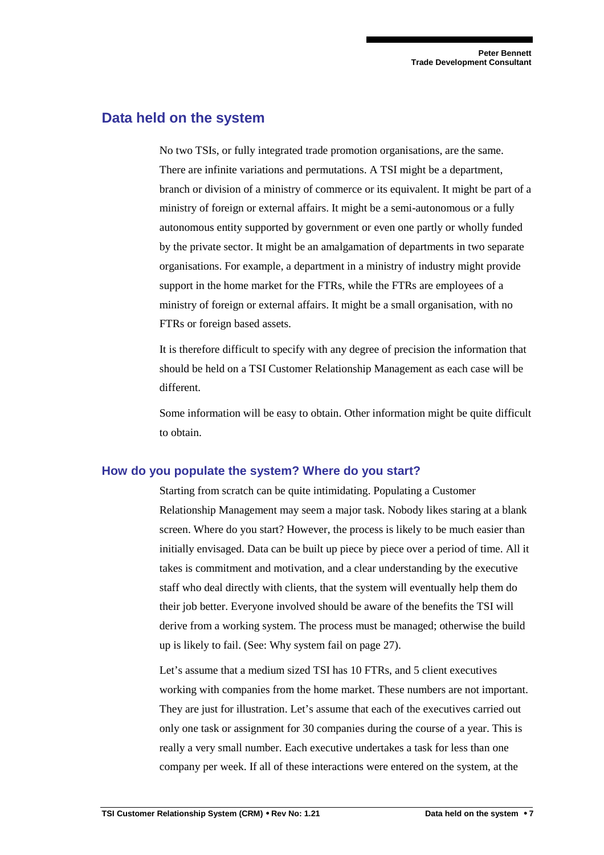## **Data held on the system**

No two TSIs, or fully integrated trade promotion organisations, are the same. There are infinite variations and permutations. A TSI might be a department, branch or division of a ministry of commerce or its equivalent. It might be part of a ministry of foreign or external affairs. It might be a semi-autonomous or a fully autonomous entity supported by government or even one partly or wholly funded by the private sector. It might be an amalgamation of departments in two separate organisations. For example, a department in a ministry of industry might provide support in the home market for the FTRs, while the FTRs are employees of a ministry of foreign or external affairs. It might be a small organisation, with no FTRs or foreign based assets.

It is therefore difficult to specify with any degree of precision the information that should be held on a TSI Customer Relationship Management as each case will be different.

Some information will be easy to obtain. Other information might be quite difficult to obtain.

#### **How do you populate the system? Where do you start?**

Starting from scratch can be quite intimidating. Populating a Customer Relationship Management may seem a major task. Nobody likes staring at a blank screen. Where do you start? However, the process is likely to be much easier than initially envisaged. Data can be built up piece by piece over a period of time. All it takes is commitment and motivation, and a clear understanding by the executive staff who deal directly with clients, that the system will eventually help them do their job better. Everyone involved should be aware of the benefits the TSI will derive from a working system. The process must be managed; otherwise the build up is likely to fail. (See: Why system fail on page 27).

Let's assume that a medium sized TSI has 10 FTRs, and 5 client executives working with companies from the home market. These numbers are not important. They are just for illustration. Let's assume that each of the executives carried out only one task or assignment for 30 companies during the course of a year. This is really a very small number. Each executive undertakes a task for less than one company per week. If all of these interactions were entered on the system, at the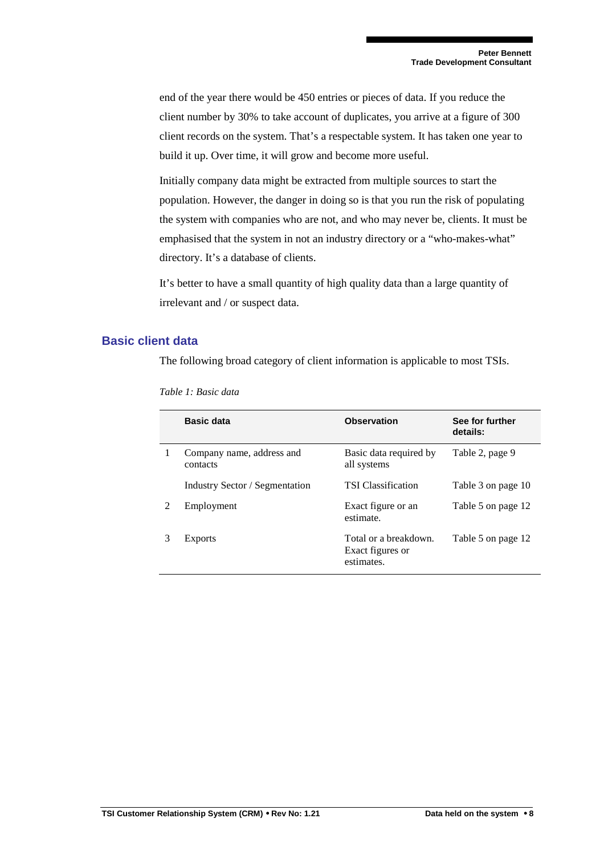end of the year there would be 450 entries or pieces of data. If you reduce the client number by 30% to take account of duplicates, you arrive at a figure of 300 client records on the system. That's a respectable system. It has taken one year to build it up. Over time, it will grow and become more useful.

Initially company data might be extracted from multiple sources to start the population. However, the danger in doing so is that you run the risk of populating the system with companies who are not, and who may never be, clients. It must be emphasised that the system in not an industry directory or a "who-makes-what" directory. It's a database of clients.

It's better to have a small quantity of high quality data than a large quantity of irrelevant and / or suspect data.

#### **Basic client data**

The following broad category of client information is applicable to most TSIs.

|                | Basic data                            | <b>Observation</b>                                      | See for further<br>details: |
|----------------|---------------------------------------|---------------------------------------------------------|-----------------------------|
| 1              | Company name, address and<br>contacts | Basic data required by<br>all systems                   | Table 2, page 9             |
|                | Industry Sector / Segmentation        | <b>TSI</b> Classification                               | Table 3 on page 10          |
| $\mathfrak{D}$ | Employment                            | Exact figure or an<br>estimate.                         | Table 5 on page 12          |
| 3              | <b>Exports</b>                        | Total or a breakdown.<br>Exact figures or<br>estimates. | Table 5 on page 12          |

*Table 1: Basic data*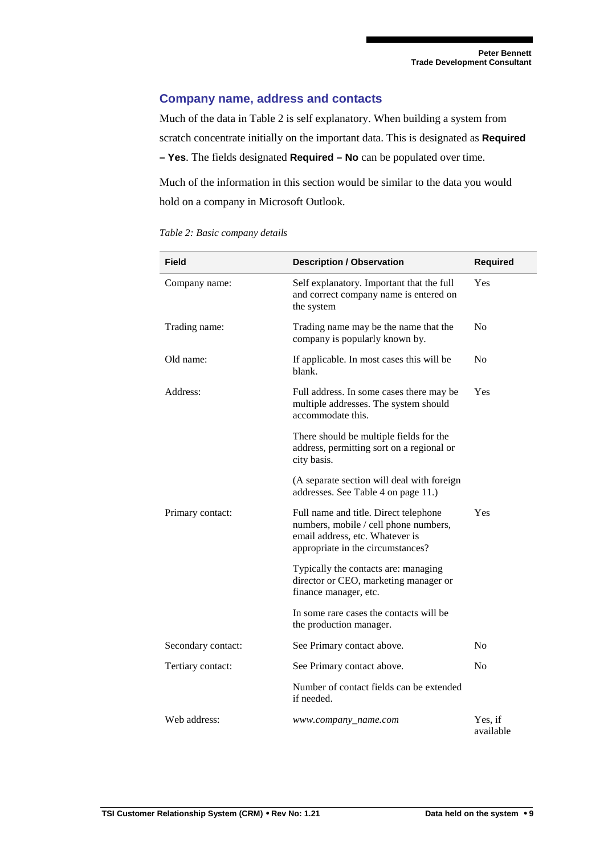## **Company name, address and contacts**

Much of the data in Table 2 is self explanatory. When building a system from scratch concentrate initially on the important data. This is designated as **Required – Yes**. The fields designated **Required – No** can be populated over time.

Much of the information in this section would be similar to the data you would hold on a company in Microsoft Outlook.

| <b>Field</b>       | <b>Description / Observation</b>                                                                                                                       | <b>Required</b>      |
|--------------------|--------------------------------------------------------------------------------------------------------------------------------------------------------|----------------------|
| Company name:      | Self explanatory. Important that the full<br>and correct company name is entered on<br>the system                                                      | Yes                  |
| Trading name:      | Trading name may be the name that the<br>company is popularly known by.                                                                                | N <sub>0</sub>       |
| Old name:          | If applicable. In most cases this will be<br>blank.                                                                                                    | N <sub>0</sub>       |
| Address:           | Full address. In some cases there may be<br>multiple addresses. The system should<br>accommodate this.                                                 | Yes                  |
|                    | There should be multiple fields for the<br>address, permitting sort on a regional or<br>city basis.                                                    |                      |
|                    | (A separate section will deal with foreign<br>addresses. See Table 4 on page 11.)                                                                      |                      |
| Primary contact:   | Full name and title. Direct telephone<br>numbers, mobile / cell phone numbers,<br>email address, etc. Whatever is<br>appropriate in the circumstances? | Yes                  |
|                    | Typically the contacts are: managing<br>director or CEO, marketing manager or<br>finance manager, etc.                                                 |                      |
|                    | In some rare cases the contacts will be<br>the production manager.                                                                                     |                      |
| Secondary contact: | See Primary contact above.                                                                                                                             | N <sub>o</sub>       |
| Tertiary contact:  | See Primary contact above.                                                                                                                             | N <sub>0</sub>       |
|                    | Number of contact fields can be extended<br>if needed.                                                                                                 |                      |
| Web address:       | www.company_name.com                                                                                                                                   | Yes, if<br>available |

*Table 2: Basic company details*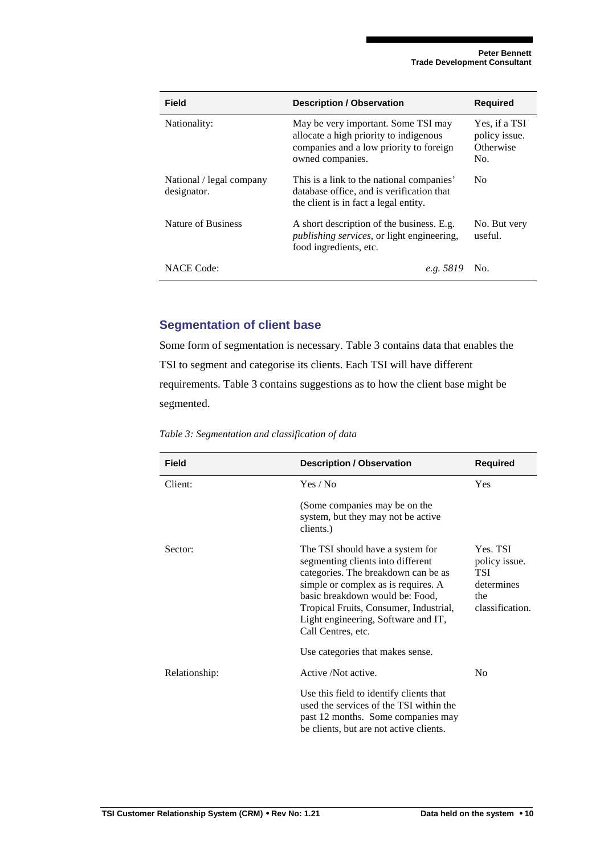| Field                                   | <b>Description / Observation</b>                                                                                                             | <b>Required</b>                                    |
|-----------------------------------------|----------------------------------------------------------------------------------------------------------------------------------------------|----------------------------------------------------|
| Nationality:                            | May be very important. Some TSI may<br>allocate a high priority to indigenous<br>companies and a low priority to foreign<br>owned companies. | Yes, if a TSI<br>policy issue.<br>Otherwise<br>No. |
| National / legal company<br>designator. | This is a link to the national companies'<br>database office, and is verification that<br>the client is in fact a legal entity.              | No.                                                |
| Nature of Business                      | A short description of the business. E.g.<br><i>publishing services</i> , or light engineering,<br>food ingredients, etc.                    | No. But very<br>useful.                            |
| <b>NACE Code:</b>                       | e.g. 5819                                                                                                                                    | No.                                                |

## **Segmentation of client base**

Some form of segmentation is necessary. Table 3 contains data that enables the TSI to segment and categorise its clients. Each TSI will have different requirements. Table 3 contains suggestions as to how the client base might be segmented.

| <b>Field</b>  | <b>Description / Observation</b>                                                                                                                                                                                                                                                              | <b>Required</b>                                                                 |
|---------------|-----------------------------------------------------------------------------------------------------------------------------------------------------------------------------------------------------------------------------------------------------------------------------------------------|---------------------------------------------------------------------------------|
| Client:       | Yes / No                                                                                                                                                                                                                                                                                      | Yes                                                                             |
|               | (Some companies may be on the<br>system, but they may not be active<br>clients.)                                                                                                                                                                                                              |                                                                                 |
| Sector:       | The TSI should have a system for<br>segmenting clients into different<br>categories. The breakdown can be as<br>simple or complex as is requires. A<br>basic breakdown would be: Food,<br>Tropical Fruits, Consumer, Industrial,<br>Light engineering, Software and IT,<br>Call Centres, etc. | Yes. TSI<br>policy issue.<br><b>TSI</b><br>determines<br>the<br>classification. |
|               | Use categories that makes sense.                                                                                                                                                                                                                                                              |                                                                                 |
| Relationship: | Active /Not active.                                                                                                                                                                                                                                                                           | N <sub>0</sub>                                                                  |
|               | Use this field to identify clients that<br>used the services of the TSI within the<br>past 12 months. Some companies may<br>be clients, but are not active clients.                                                                                                                           |                                                                                 |

*Table 3: Segmentation and classification of data*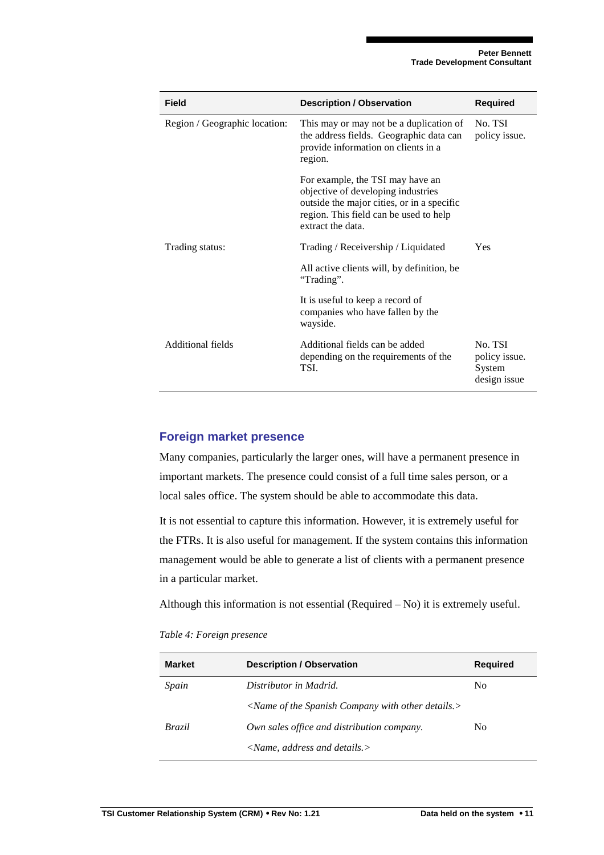| <b>Field</b>                  | <b>Description / Observation</b>                                                                                                                                                    | <b>Required</b>                                    |
|-------------------------------|-------------------------------------------------------------------------------------------------------------------------------------------------------------------------------------|----------------------------------------------------|
| Region / Geographic location: | This may or may not be a duplication of<br>the address fields. Geographic data can<br>provide information on clients in a<br>region.                                                | No. TSI<br>policy issue.                           |
|                               | For example, the TSI may have an<br>objective of developing industries<br>outside the major cities, or in a specific<br>region. This field can be used to help<br>extract the data. |                                                    |
| Trading status:               | Trading / Receivership / Liquidated                                                                                                                                                 | Yes                                                |
|                               | All active clients will, by definition, be<br>"Trading".                                                                                                                            |                                                    |
|                               | It is useful to keep a record of<br>companies who have fallen by the<br>wayside.                                                                                                    |                                                    |
| Additional fields             | Additional fields can be added<br>depending on the requirements of the<br>TSI.                                                                                                      | No. TSI<br>policy issue.<br>System<br>design issue |

#### **Foreign market presence**

Many companies, particularly the larger ones, will have a permanent presence in important markets. The presence could consist of a full time sales person, or a local sales office. The system should be able to accommodate this data.

It is not essential to capture this information. However, it is extremely useful for the FTRs. It is also useful for management. If the system contains this information management would be able to generate a list of clients with a permanent presence in a particular market.

Although this information is not essential (Required – No) it is extremely useful.

*Table 4: Foreign presence* 

| <b>Market</b> | <b>Description / Observation</b>                           | Reguired |
|---------------|------------------------------------------------------------|----------|
| Spain         | Distributor in Madrid.                                     | No       |
|               | $\leq$ Name of the Spanish Company with other details. $>$ |          |
| Brazil        | Own sales office and distribution company.                 | No       |
|               | $\langle$ Name, address and details. $>$                   |          |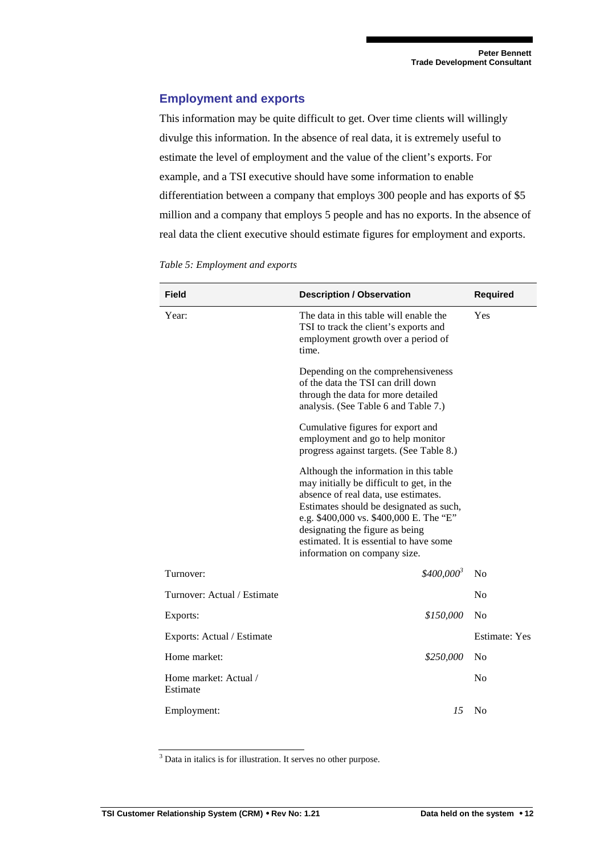#### **Employment and exports**

This information may be quite difficult to get. Over time clients will willingly divulge this information. In the absence of real data, it is extremely useful to estimate the level of employment and the value of the client's exports. For example, and a TSI executive should have some information to enable differentiation between a company that employs 300 people and has exports of \$5 million and a company that employs 5 people and has no exports. In the absence of real data the client executive should estimate figures for employment and exports.

| <b>Field</b>                      | <b>Description / Observation</b>                                                                                                                                                                                                                                                                                                | <b>Required</b>      |
|-----------------------------------|---------------------------------------------------------------------------------------------------------------------------------------------------------------------------------------------------------------------------------------------------------------------------------------------------------------------------------|----------------------|
| Year:                             | The data in this table will enable the<br>TSI to track the client's exports and<br>employment growth over a period of<br>time.                                                                                                                                                                                                  | Yes                  |
|                                   | Depending on the comprehensiveness<br>of the data the TSI can drill down<br>through the data for more detailed<br>analysis. (See Table 6 and Table 7.)                                                                                                                                                                          |                      |
|                                   | Cumulative figures for export and<br>employment and go to help monitor<br>progress against targets. (See Table 8.)                                                                                                                                                                                                              |                      |
|                                   | Although the information in this table<br>may initially be difficult to get, in the<br>absence of real data, use estimates.<br>Estimates should be designated as such,<br>e.g. \$400,000 vs. \$400,000 E. The "E"<br>designating the figure as being<br>estimated. It is essential to have some<br>information on company size. |                      |
| Turnover:                         | $$400,000^3$                                                                                                                                                                                                                                                                                                                    | N <sub>o</sub>       |
| Turnover: Actual / Estimate       |                                                                                                                                                                                                                                                                                                                                 | N <sub>o</sub>       |
| Exports:                          | \$150,000                                                                                                                                                                                                                                                                                                                       | N <sub>o</sub>       |
| Exports: Actual / Estimate        |                                                                                                                                                                                                                                                                                                                                 | <b>Estimate:</b> Yes |
| Home market:                      | \$250,000                                                                                                                                                                                                                                                                                                                       | N <sub>0</sub>       |
| Home market: Actual /<br>Estimate |                                                                                                                                                                                                                                                                                                                                 | N <sub>0</sub>       |
| Employment:                       | 15                                                                                                                                                                                                                                                                                                                              | N <sub>o</sub>       |

*Table 5: Employment and exports* 

<sup>3</sup> Data in italics is for illustration. It serves no other purpose.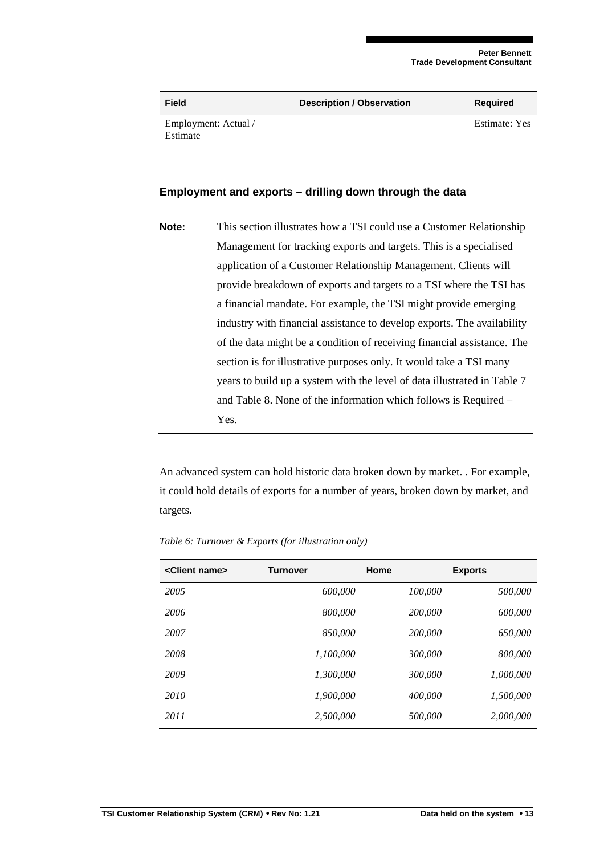| Field                            | <b>Description / Observation</b> | <b>Required</b> |
|----------------------------------|----------------------------------|-----------------|
| Employment: Actual /<br>Estimate |                                  | Estimate: Yes   |

#### **Employment and exports – drilling down through the data**

| Note: | This section illustrates how a TSI could use a Customer Relationship     |
|-------|--------------------------------------------------------------------------|
|       | Management for tracking exports and targets. This is a specialised       |
|       | application of a Customer Relationship Management. Clients will          |
|       | provide breakdown of exports and targets to a TSI where the TSI has      |
|       | a financial mandate. For example, the TSI might provide emerging         |
|       | industry with financial assistance to develop exports. The availability  |
|       | of the data might be a condition of receiving financial assistance. The  |
|       | section is for illustrative purposes only. It would take a TSI many      |
|       | years to build up a system with the level of data illustrated in Table 7 |
|       | and Table 8. None of the information which follows is Required –         |
|       | Yes.                                                                     |

An advanced system can hold historic data broken down by market. . For example, it could hold details of exports for a number of years, broken down by market, and targets.

| <client name=""></client> | <b>Turnover</b> | Home    | <b>Exports</b> |
|---------------------------|-----------------|---------|----------------|
| 2005                      | 600,000         | 100,000 | 500,000        |
| 2006                      | 800,000         | 200,000 | 600,000        |
| 2007                      | 850,000         | 200,000 | 650,000        |
| 2008                      | 1,100,000       | 300,000 | 800,000        |
| 2009                      | 1.300.000       | 300,000 | 1.000.000      |
| 2010                      | 1,900,000       | 400,000 | 1.500.000      |
| 2011                      | 2,500,000       | 500,000 | 2,000,000      |

*Table 6: Turnover & Exports (for illustration only)*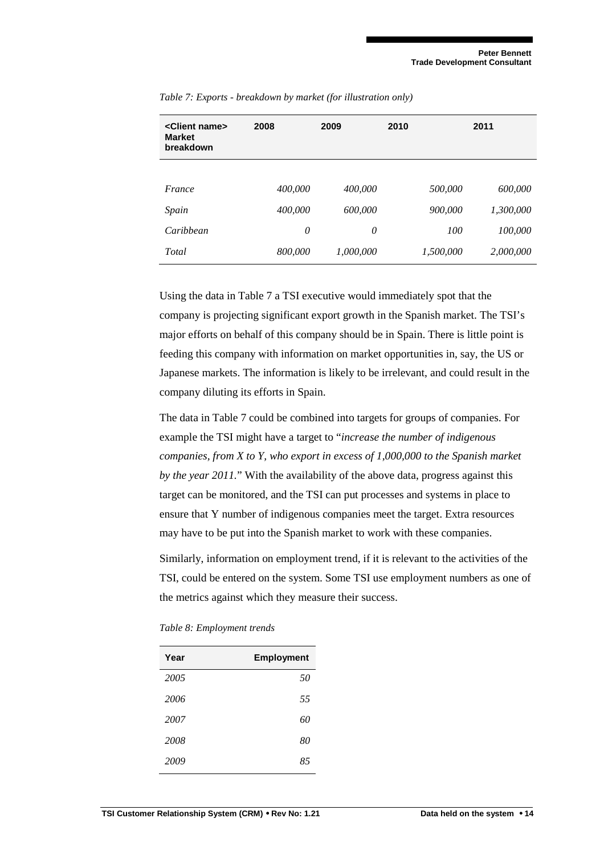| <client name=""><br/><b>Market</b><br/>breakdown</client> | 2008    | 2009      | 2010      | 2011      |
|-----------------------------------------------------------|---------|-----------|-----------|-----------|
|                                                           |         |           |           |           |
| France                                                    | 400,000 | 400,000   | 500,000   | 600,000   |
| Spain                                                     | 400,000 | 600,000   | 900,000   | 1,300,000 |
| Caribbean                                                 | 0       | 0         | 100       | 100,000   |
| Total                                                     | 800,000 | 1,000,000 | 1,500,000 | 2,000,000 |

*Table 7: Exports - breakdown by market (for illustration only)* 

Using the data in Table 7 a TSI executive would immediately spot that the company is projecting significant export growth in the Spanish market. The TSI's major efforts on behalf of this company should be in Spain. There is little point is feeding this company with information on market opportunities in, say, the US or Japanese markets. The information is likely to be irrelevant, and could result in the company diluting its efforts in Spain.

The data in Table 7 could be combined into targets for groups of companies. For example the TSI might have a target to "*increase the number of indigenous companies, from X to Y, who export in excess of 1,000,000 to the Spanish market by the year 2011.*" With the availability of the above data, progress against this target can be monitored, and the TSI can put processes and systems in place to ensure that Y number of indigenous companies meet the target. Extra resources may have to be put into the Spanish market to work with these companies.

Similarly, information on employment trend, if it is relevant to the activities of the TSI, could be entered on the system. Some TSI use employment numbers as one of the metrics against which they measure their success.

*Table 8: Employment trends* 

| Year | <b>Employment</b> |
|------|-------------------|
| 2005 | 50                |
| 2006 | 55                |
| 2007 | 60                |
| 2008 | 80                |
| 2009 | 85                |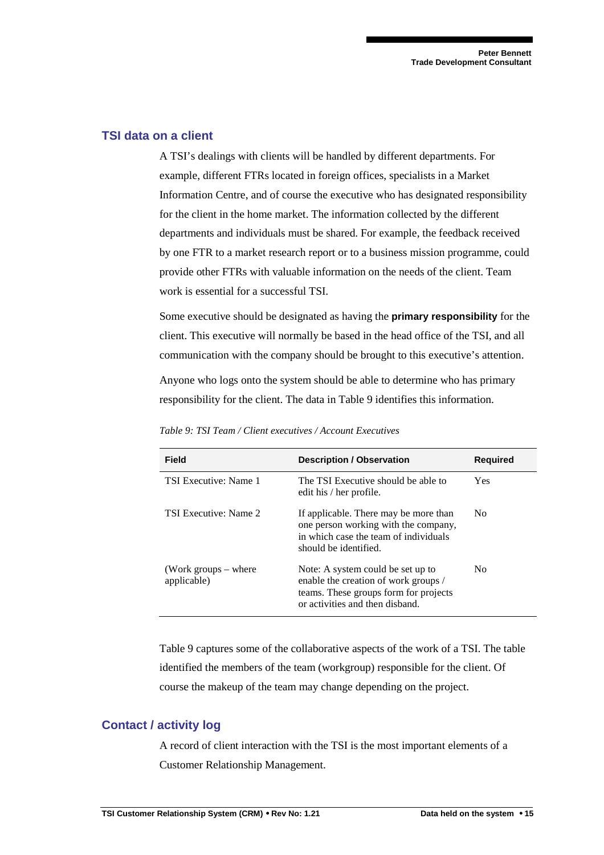#### **TSI data on a client**

A TSI's dealings with clients will be handled by different departments. For example, different FTRs located in foreign offices, specialists in a Market Information Centre, and of course the executive who has designated responsibility for the client in the home market. The information collected by the different departments and individuals must be shared. For example, the feedback received by one FTR to a market research report or to a business mission programme, could provide other FTRs with valuable information on the needs of the client. Team work is essential for a successful TSI.

Some executive should be designated as having the **primary responsibility** for the client. This executive will normally be based in the head office of the TSI, and all communication with the company should be brought to this executive's attention.

Anyone who logs onto the system should be able to determine who has primary responsibility for the client. The data in Table 9 identifies this information.

| <b>Field</b>                          | <b>Description / Observation</b>                                                                                                                      | <b>Required</b> |
|---------------------------------------|-------------------------------------------------------------------------------------------------------------------------------------------------------|-----------------|
| <b>TSI Executive: Name 1</b>          | The TSI Executive should be able to<br>edit his / her profile.                                                                                        | Yes.            |
| TSI Executive: Name 2                 | If applicable. There may be more than<br>one person working with the company,<br>in which case the team of individuals<br>should be identified.       | N <sub>0</sub>  |
| (Work groups $-$ where<br>applicable) | Note: A system could be set up to<br>enable the creation of work groups /<br>teams. These groups form for projects<br>or activities and then disband. | No.             |

*Table 9: TSI Team / Client executives / Account Executives* 

Table 9 captures some of the collaborative aspects of the work of a TSI. The table identified the members of the team (workgroup) responsible for the client. Of course the makeup of the team may change depending on the project.

## **Contact / activity log**

A record of client interaction with the TSI is the most important elements of a Customer Relationship Management.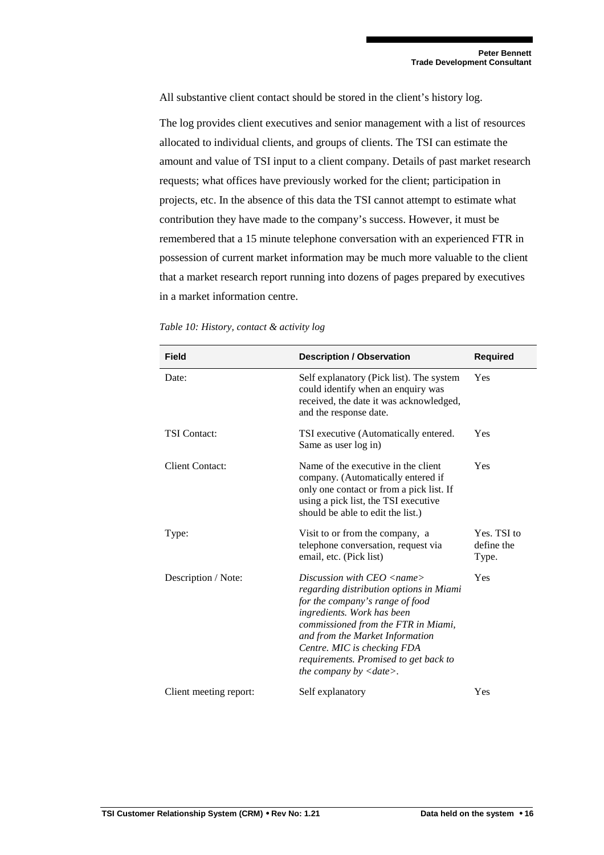All substantive client contact should be stored in the client's history log.

The log provides client executives and senior management with a list of resources allocated to individual clients, and groups of clients. The TSI can estimate the amount and value of TSI input to a client company. Details of past market research requests; what offices have previously worked for the client; participation in projects, etc. In the absence of this data the TSI cannot attempt to estimate what contribution they have made to the company's success. However, it must be remembered that a 15 minute telephone conversation with an experienced FTR in possession of current market information may be much more valuable to the client that a market research report running into dozens of pages prepared by executives in a market information centre.

| Field                  | <b>Description / Observation</b>                                                                                                                                                                                                                                                                                                                        | <b>Required</b>                    |
|------------------------|---------------------------------------------------------------------------------------------------------------------------------------------------------------------------------------------------------------------------------------------------------------------------------------------------------------------------------------------------------|------------------------------------|
| Date:                  | Self explanatory (Pick list). The system<br>could identify when an enquiry was<br>received, the date it was acknowledged,<br>and the response date.                                                                                                                                                                                                     | Yes                                |
| <b>TSI</b> Contact:    | TSI executive (Automatically entered.<br>Same as user log in)                                                                                                                                                                                                                                                                                           | Yes                                |
| <b>Client Contact:</b> | Name of the executive in the client<br>company. (Automatically entered if<br>only one contact or from a pick list. If<br>using a pick list, the TSI executive<br>should be able to edit the list.)                                                                                                                                                      | Yes                                |
| Type:                  | Visit to or from the company, a<br>telephone conversation, request via<br>email, etc. (Pick list)                                                                                                                                                                                                                                                       | Yes. TSI to<br>define the<br>Type. |
| Description / Note:    | Discussion with $CEO$ $\langle$ name $\rangle$<br>regarding distribution options in Miami<br>for the company's range of food<br>ingredients. Work has been<br>commissioned from the FTR in Miami,<br>and from the Market Information<br>Centre. MIC is checking FDA<br>requirements. Promised to get back to<br>the company by $\langle date \rangle$ . | Yes                                |
| Client meeting report: | Self explanatory                                                                                                                                                                                                                                                                                                                                        | Yes                                |

*Table 10: History, contact & activity log*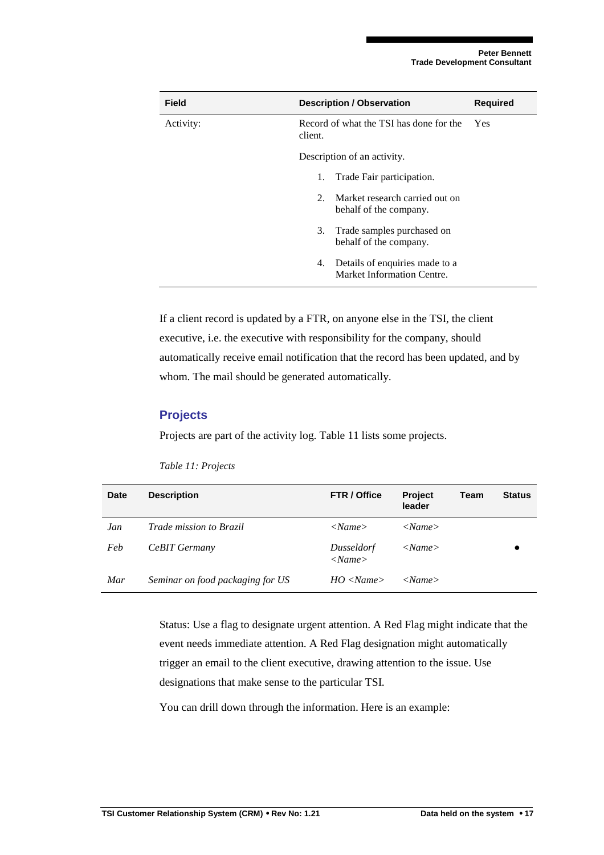| Field     | <b>Description / Observation</b>                                   | <b>Required</b> |
|-----------|--------------------------------------------------------------------|-----------------|
| Activity: | Record of what the TSI has done for the<br>client.                 | <b>Yes</b>      |
|           | Description of an activity.                                        |                 |
|           | Trade Fair participation.<br>1.                                    |                 |
|           | Market research carried out on<br>2.<br>behalf of the company.     |                 |
|           | Trade samples purchased on<br>3.<br>behalf of the company.         |                 |
|           | Details of enquiries made to a<br>4.<br>Market Information Centre. |                 |

If a client record is updated by a FTR, on anyone else in the TSI, the client executive, i.e. the executive with responsibility for the company, should automatically receive email notification that the record has been updated, and by whom. The mail should be generated automatically.

#### **Projects**

Projects are part of the activity log. Table 11 lists some projects.

| Date | <b>Description</b>               | FTR / Office               | Project<br>leader        | Team | <b>Status</b> |
|------|----------------------------------|----------------------------|--------------------------|------|---------------|
| Jan  | Trade mission to Brazil          | < Name>                    | < Name>                  |      |               |
| Feb  | CeBIT Germany                    | Dusseldorf<br>$<$ Name $>$ | $\langle$ Name $\rangle$ |      |               |
| Mar  | Seminar on food packaging for US | HO < Name >                | < Name>                  |      |               |

*Table 11: Projects* 

Status: Use a flag to designate urgent attention. A Red Flag might indicate that the event needs immediate attention. A Red Flag designation might automatically trigger an email to the client executive, drawing attention to the issue. Use designations that make sense to the particular TSI.

You can drill down through the information. Here is an example: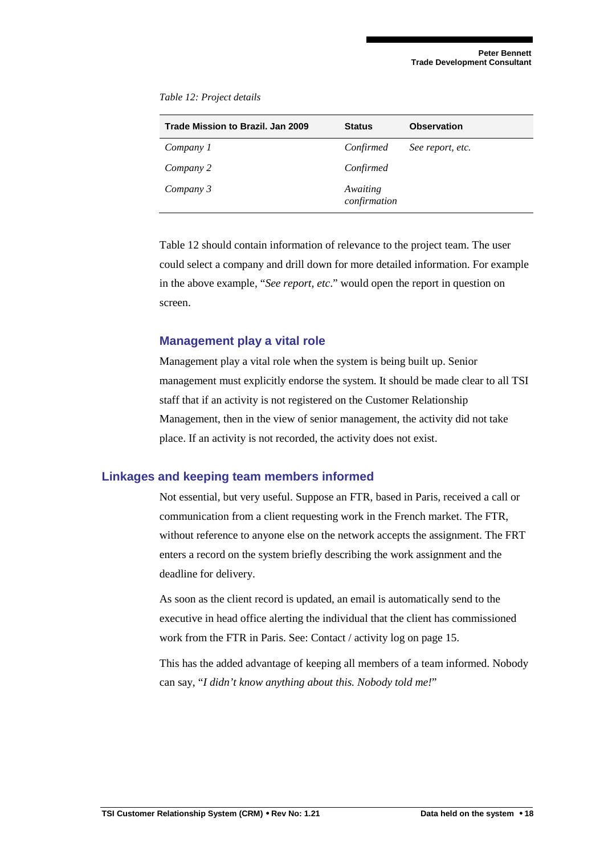| Trade Mission to Brazil, Jan 2009 | <b>Status</b>            | <b>Observation</b> |
|-----------------------------------|--------------------------|--------------------|
| Company 1                         | Confirmed                | See report, etc.   |
| Company 2                         | Confirmed                |                    |
| Company 3                         | Awaiting<br>confirmation |                    |

*Table 12: Project details* 

Table 12 should contain information of relevance to the project team. The user could select a company and drill down for more detailed information. For example in the above example, "*See report, etc*." would open the report in question on screen.

#### **Management play a vital role**

Management play a vital role when the system is being built up. Senior management must explicitly endorse the system. It should be made clear to all TSI staff that if an activity is not registered on the Customer Relationship Management, then in the view of senior management, the activity did not take place. If an activity is not recorded, the activity does not exist.

## **Linkages and keeping team members informed**

Not essential, but very useful. Suppose an FTR, based in Paris, received a call or communication from a client requesting work in the French market. The FTR, without reference to anyone else on the network accepts the assignment. The FRT enters a record on the system briefly describing the work assignment and the deadline for delivery.

As soon as the client record is updated, an email is automatically send to the executive in head office alerting the individual that the client has commissioned work from the FTR in Paris. See: Contact / activity log on page 15.

This has the added advantage of keeping all members of a team informed. Nobody can say, "*I didn't know anything about this. Nobody told me!*"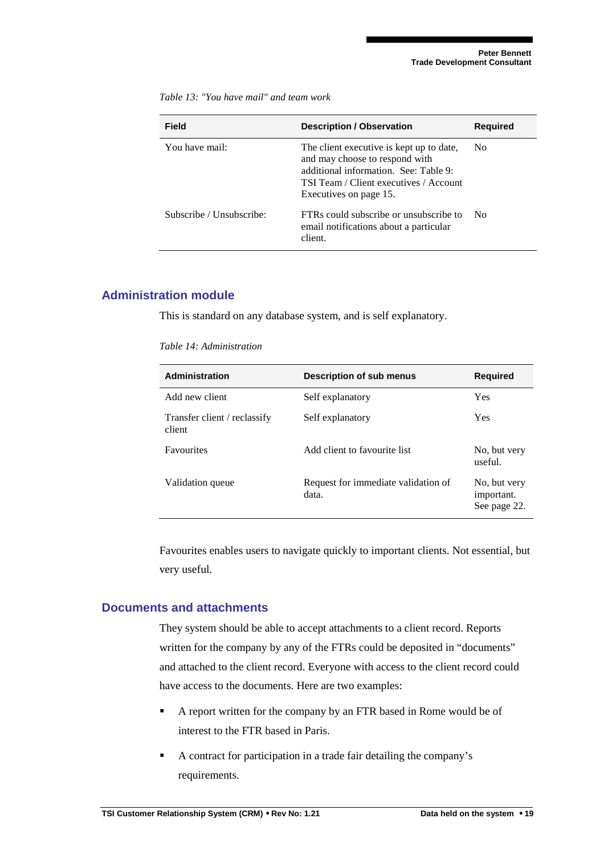**Field Construction Construction / Observation 10 Required** You have mail: The client executive is kept up to date, and may choose to respond with additional information. See: Table 9: TSI Team / Client executives / Account Executives on page 15. No Subscribe / Unsubscribe: FTRs could subscribe or unsubscribe to email notifications about a particular client. No

*Table 13: "You have mail" and team work* 

## **Administration module**

This is standard on any database system, and is self explanatory.

#### *Table 14: Administration*

| Administration                         | <b>Description of sub menus</b>              | <b>Required</b>                            |
|----------------------------------------|----------------------------------------------|--------------------------------------------|
| Add new client                         | Self explanatory                             | <b>Yes</b>                                 |
| Transfer client / reclassify<br>client | Self explanatory                             | <b>Yes</b>                                 |
| <b>Favourites</b>                      | Add client to favourite list                 | No, but very<br>useful.                    |
| Validation queue                       | Request for immediate validation of<br>data. | No, but very<br>important.<br>See page 22. |

Favourites enables users to navigate quickly to important clients. Not essential, but very useful.

#### **Documents and attachments**

They system should be able to accept attachments to a client record. Reports written for the company by any of the FTRs could be deposited in "documents" and attached to the client record. Everyone with access to the client record could have access to the documents. Here are two examples:

- A report written for the company by an FTR based in Rome would be of interest to the FTR based in Paris.
- A contract for participation in a trade fair detailing the company's requirements.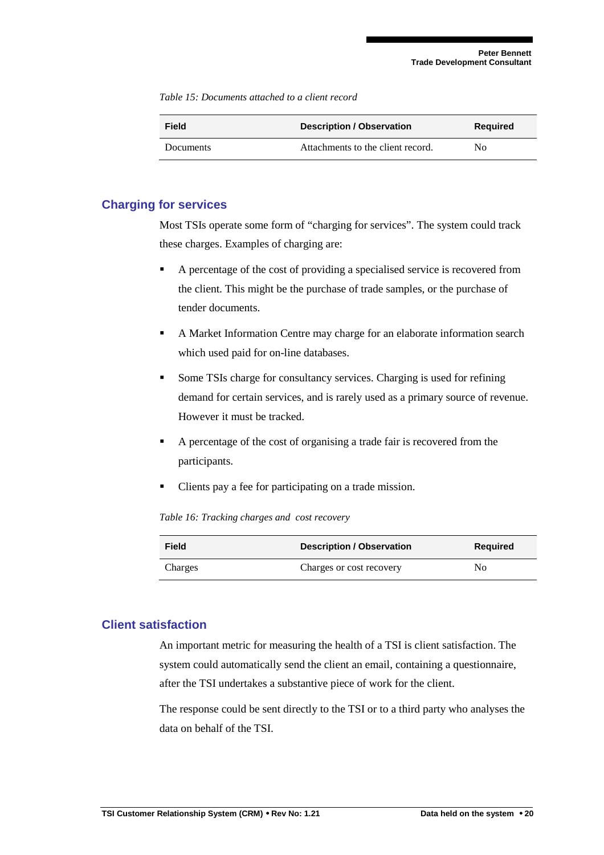*Table 15: Documents attached to a client record* 

| Field            | <b>Description / Observation</b>  | <b>Required</b> |
|------------------|-----------------------------------|-----------------|
| <b>Documents</b> | Attachments to the client record. | No              |

#### **Charging for services**

Most TSIs operate some form of "charging for services". The system could track these charges. Examples of charging are:

- A percentage of the cost of providing a specialised service is recovered from the client. This might be the purchase of trade samples, or the purchase of tender documents.
- A Market Information Centre may charge for an elaborate information search which used paid for on-line databases.
- Some TSIs charge for consultancy services. Charging is used for refining demand for certain services, and is rarely used as a primary source of revenue. However it must be tracked.
- A percentage of the cost of organising a trade fair is recovered from the participants.
- Clients pay a fee for participating on a trade mission.

*Table 16: Tracking charges and cost recovery* 

| Field   | <b>Description / Observation</b> | <b>Required</b> |
|---------|----------------------------------|-----------------|
| Charges | Charges or cost recovery         | No              |

#### **Client satisfaction**

An important metric for measuring the health of a TSI is client satisfaction. The system could automatically send the client an email, containing a questionnaire, after the TSI undertakes a substantive piece of work for the client.

The response could be sent directly to the TSI or to a third party who analyses the data on behalf of the TSI.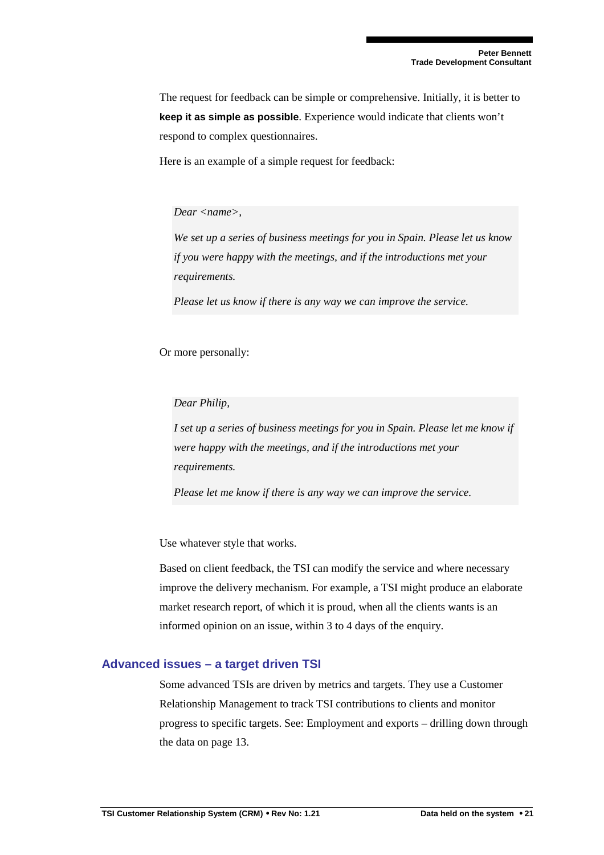The request for feedback can be simple or comprehensive. Initially, it is better to **keep it as simple as possible**. Experience would indicate that clients won't respond to complex questionnaires.

Here is an example of a simple request for feedback:

#### *Dear <name>,*

*We set up a series of business meetings for you in Spain. Please let us know if you were happy with the meetings, and if the introductions met your requirements.* 

*Please let us know if there is any way we can improve the service.* 

Or more personally:

*Dear Philip,* 

*I set up a series of business meetings for you in Spain. Please let me know if were happy with the meetings, and if the introductions met your requirements.* 

*Please let me know if there is any way we can improve the service.* 

Use whatever style that works.

Based on client feedback, the TSI can modify the service and where necessary improve the delivery mechanism. For example, a TSI might produce an elaborate market research report, of which it is proud, when all the clients wants is an informed opinion on an issue, within 3 to 4 days of the enquiry.

#### **Advanced issues – a target driven TSI**

Some advanced TSIs are driven by metrics and targets. They use a Customer Relationship Management to track TSI contributions to clients and monitor progress to specific targets. See: Employment and exports – drilling down through the data on page 13.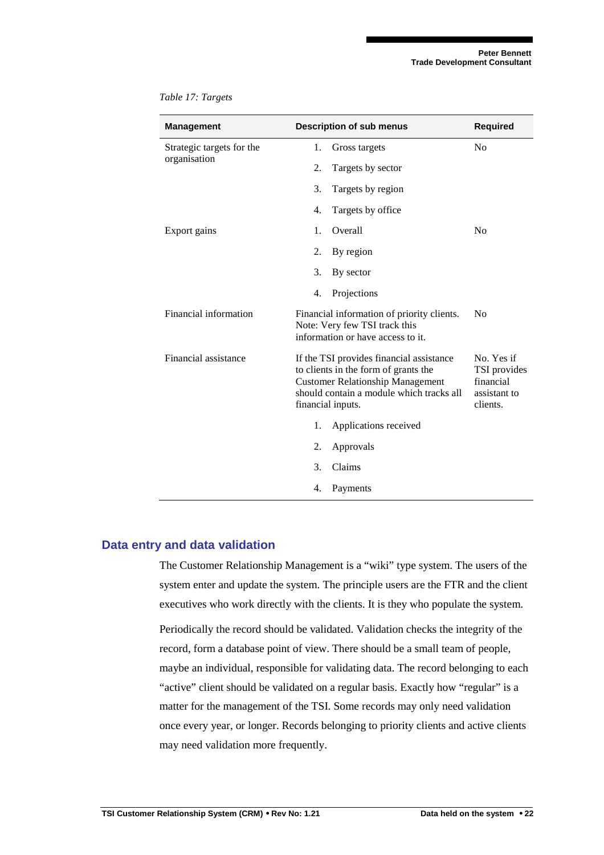| <b>Management</b>         | <b>Description of sub menus</b>                                                                                                                                                              | <b>Required</b>                                                     |
|---------------------------|----------------------------------------------------------------------------------------------------------------------------------------------------------------------------------------------|---------------------------------------------------------------------|
| Strategic targets for the | 1.<br>Gross targets                                                                                                                                                                          | N <sub>0</sub>                                                      |
| organisation              | 2.<br>Targets by sector                                                                                                                                                                      |                                                                     |
|                           | 3.<br>Targets by region                                                                                                                                                                      |                                                                     |
|                           | 4.<br>Targets by office                                                                                                                                                                      |                                                                     |
| Export gains              | Overall<br>1.                                                                                                                                                                                | N <sub>0</sub>                                                      |
|                           | 2.<br>By region                                                                                                                                                                              |                                                                     |
|                           | 3.<br>By sector                                                                                                                                                                              |                                                                     |
|                           | 4.<br>Projections                                                                                                                                                                            |                                                                     |
| Financial information     | Financial information of priority clients.<br>Note: Very few TSI track this<br>information or have access to it.                                                                             | N <sub>0</sub>                                                      |
| Financial assistance      | If the TSI provides financial assistance<br>to clients in the form of grants the<br><b>Customer Relationship Management</b><br>should contain a module which tracks all<br>financial inputs. | No. Yes if<br>TSI provides<br>financial<br>assistant to<br>clients. |
|                           | Applications received<br>1.                                                                                                                                                                  |                                                                     |
|                           | 2.<br>Approvals                                                                                                                                                                              |                                                                     |
|                           | 3.<br>Claims                                                                                                                                                                                 |                                                                     |
|                           | 4.<br>Payments                                                                                                                                                                               |                                                                     |

*Table 17: Targets* 

## **Data entry and data validation**

The Customer Relationship Management is a "wiki" type system. The users of the system enter and update the system. The principle users are the FTR and the client executives who work directly with the clients. It is they who populate the system.

Periodically the record should be validated. Validation checks the integrity of the record, form a database point of view. There should be a small team of people, maybe an individual, responsible for validating data. The record belonging to each "active" client should be validated on a regular basis. Exactly how "regular" is a matter for the management of the TSI. Some records may only need validation once every year, or longer. Records belonging to priority clients and active clients may need validation more frequently.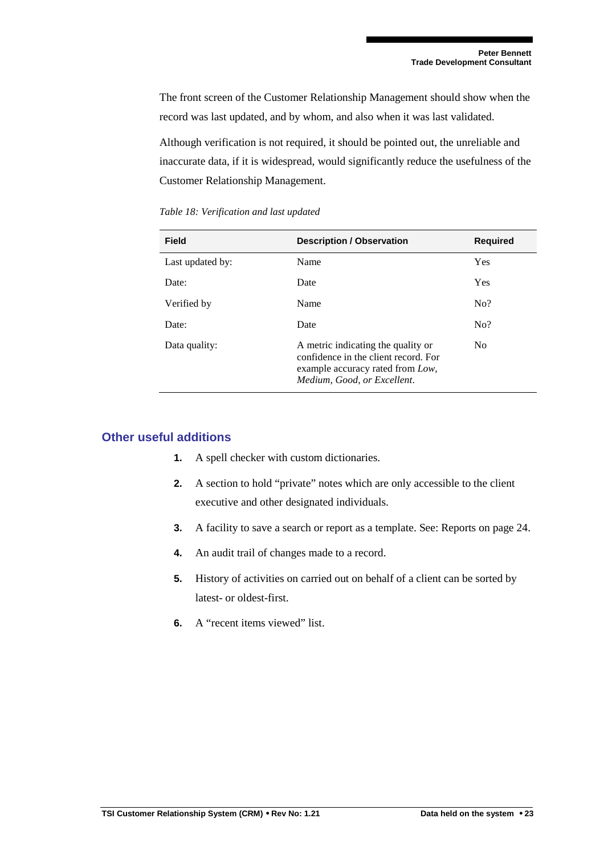The front screen of the Customer Relationship Management should show when the record was last updated, and by whom, and also when it was last validated.

Although verification is not required, it should be pointed out, the unreliable and inaccurate data, if it is widespread, would significantly reduce the usefulness of the Customer Relationship Management.

| <b>Field</b>     | <b>Description / Observation</b>                                                                                                              | <b>Required</b> |
|------------------|-----------------------------------------------------------------------------------------------------------------------------------------------|-----------------|
| Last updated by: | Name                                                                                                                                          | <b>Yes</b>      |
| Date:            | Date                                                                                                                                          | <b>Yes</b>      |
| Verified by      | Name                                                                                                                                          | No?             |
| Date:            | Date                                                                                                                                          | No?             |
| Data quality:    | A metric indicating the quality or<br>confidence in the client record. For<br>example accuracy rated from Low,<br>Medium, Good, or Excellent. | N <sub>0</sub>  |

*Table 18: Verification and last updated* 

## **Other useful additions**

- **1.** A spell checker with custom dictionaries.
- **2.** A section to hold "private" notes which are only accessible to the client executive and other designated individuals.
- **3.** A facility to save a search or report as a template. See: Reports on page 24.
- **4.** An audit trail of changes made to a record.
- **5.** History of activities on carried out on behalf of a client can be sorted by latest- or oldest-first.
- **6.** A "recent items viewed" list.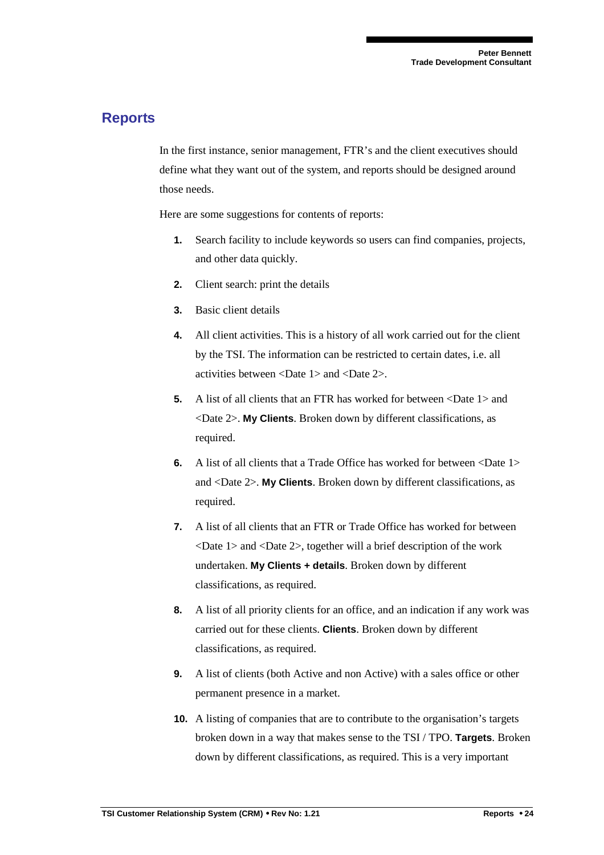## **Reports**

In the first instance, senior management, FTR's and the client executives should define what they want out of the system, and reports should be designed around those needs.

Here are some suggestions for contents of reports:

- **1.** Search facility to include keywords so users can find companies, projects, and other data quickly.
- **2.** Client search: print the details
- **3.** Basic client details
- **4.** All client activities. This is a history of all work carried out for the client by the TSI. The information can be restricted to certain dates, i.e. all activities between <Date 1> and <Date 2>.
- **5.** A list of all clients that an FTR has worked for between <Date 1> and <Date 2>. **My Clients**. Broken down by different classifications, as required.
- **6.** A list of all clients that a Trade Office has worked for between <Date 1> and <Date 2>. **My Clients**. Broken down by different classifications, as required.
- **7.** A list of all clients that an FTR or Trade Office has worked for between <Date 1> and <Date 2>, together will a brief description of the work undertaken. **My Clients + details**. Broken down by different classifications, as required.
- **8.** A list of all priority clients for an office, and an indication if any work was carried out for these clients. **Clients**. Broken down by different classifications, as required.
- **9.** A list of clients (both Active and non Active) with a sales office or other permanent presence in a market.
- **10.** A listing of companies that are to contribute to the organisation's targets broken down in a way that makes sense to the TSI / TPO. **Targets**. Broken down by different classifications, as required. This is a very important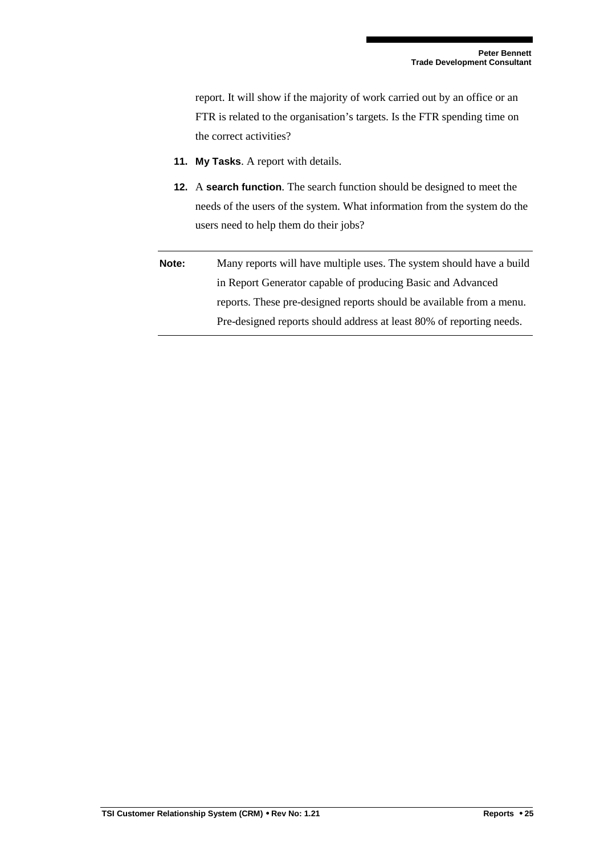report. It will show if the majority of work carried out by an office or an FTR is related to the organisation's targets. Is the FTR spending time on the correct activities?

- **11. My Tasks**. A report with details.
- **12.** A **search function**. The search function should be designed to meet the needs of the users of the system. What information from the system do the users need to help them do their jobs?
- **Note:** Many reports will have multiple uses. The system should have a build in Report Generator capable of producing Basic and Advanced reports. These pre-designed reports should be available from a menu. Pre-designed reports should address at least 80% of reporting needs.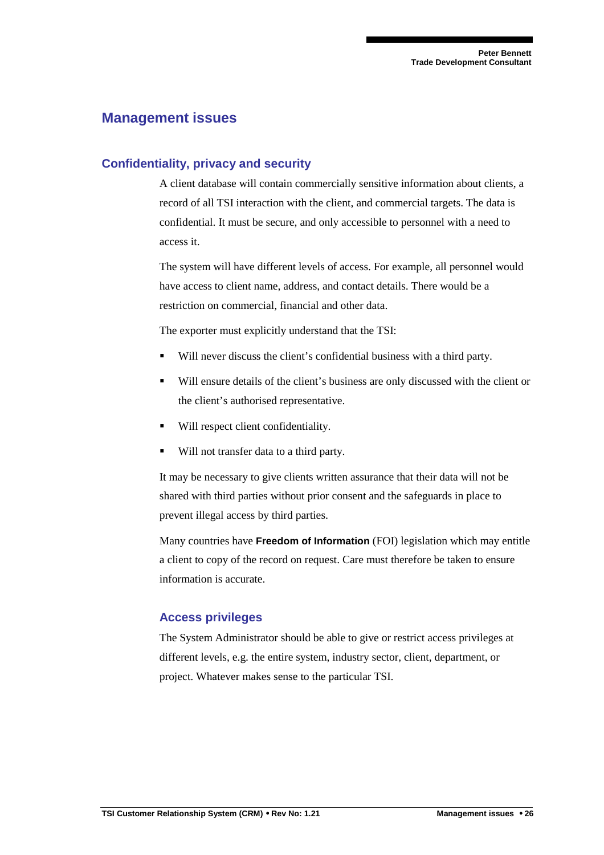# **Management issues**

## **Confidentiality, privacy and security**

A client database will contain commercially sensitive information about clients, a record of all TSI interaction with the client, and commercial targets. The data is confidential. It must be secure, and only accessible to personnel with a need to access it.

The system will have different levels of access. For example, all personnel would have access to client name, address, and contact details. There would be a restriction on commercial, financial and other data.

The exporter must explicitly understand that the TSI:

- Will never discuss the client's confidential business with a third party.
- Will ensure details of the client's business are only discussed with the client or the client's authorised representative.
- Will respect client confidentiality.
- Will not transfer data to a third party.

It may be necessary to give clients written assurance that their data will not be shared with third parties without prior consent and the safeguards in place to prevent illegal access by third parties.

Many countries have **Freedom of Information** (FOI) legislation which may entitle a client to copy of the record on request. Care must therefore be taken to ensure information is accurate.

## **Access privileges**

The System Administrator should be able to give or restrict access privileges at different levels, e.g. the entire system, industry sector, client, department, or project. Whatever makes sense to the particular TSI.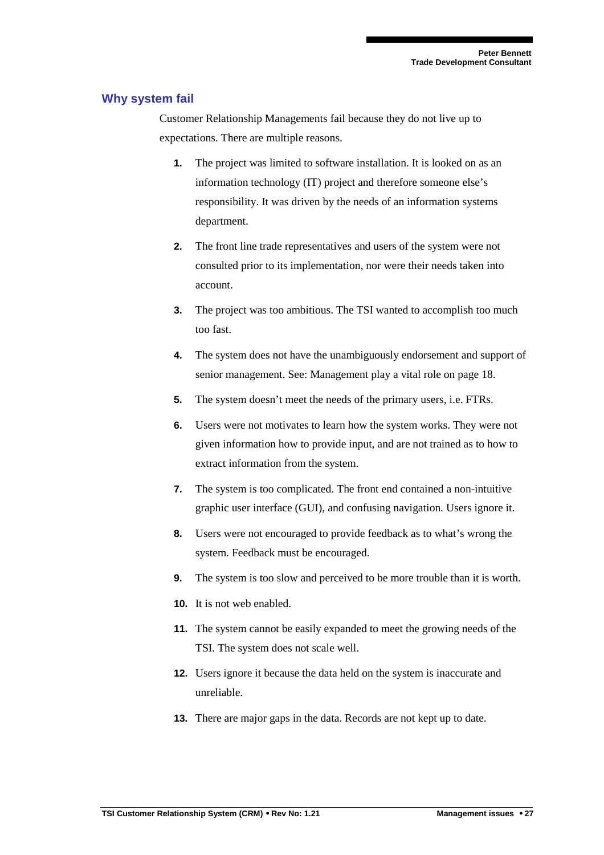#### **Why system fail**

Customer Relationship Managements fail because they do not live up to expectations. There are multiple reasons.

- **1.** The project was limited to software installation. It is looked on as an information technology (IT) project and therefore someone else's responsibility. It was driven by the needs of an information systems department.
- **2.** The front line trade representatives and users of the system were not consulted prior to its implementation, nor were their needs taken into account.
- **3.** The project was too ambitious. The TSI wanted to accomplish too much too fast.
- **4.** The system does not have the unambiguously endorsement and support of senior management. See: Management play a vital role on page 18.
- **5.** The system doesn't meet the needs of the primary users, i.e. FTRs.
- **6.** Users were not motivates to learn how the system works. They were not given information how to provide input, and are not trained as to how to extract information from the system.
- **7.** The system is too complicated. The front end contained a non-intuitive graphic user interface (GUI), and confusing navigation. Users ignore it.
- **8.** Users were not encouraged to provide feedback as to what's wrong the system. Feedback must be encouraged.
- **9.** The system is too slow and perceived to be more trouble than it is worth.
- **10.** It is not web enabled.
- **11.** The system cannot be easily expanded to meet the growing needs of the TSI. The system does not scale well.
- **12.** Users ignore it because the data held on the system is inaccurate and unreliable.
- **13.** There are major gaps in the data. Records are not kept up to date.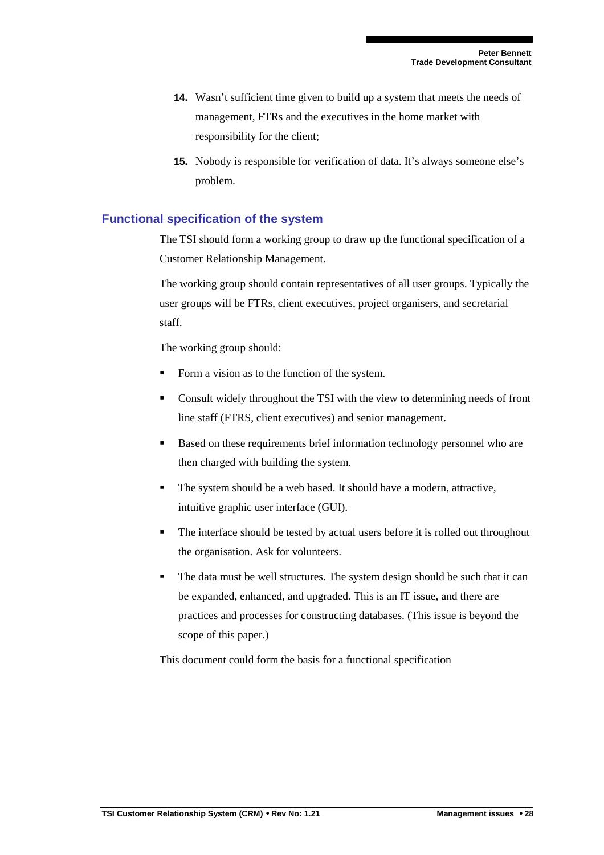- **14.** Wasn't sufficient time given to build up a system that meets the needs of management, FTRs and the executives in the home market with responsibility for the client;
- **15.** Nobody is responsible for verification of data. It's always someone else's problem.

## **Functional specification of the system**

The TSI should form a working group to draw up the functional specification of a Customer Relationship Management.

The working group should contain representatives of all user groups. Typically the user groups will be FTRs, client executives, project organisers, and secretarial staff.

The working group should:

- Form a vision as to the function of the system.
- Consult widely throughout the TSI with the view to determining needs of front line staff (FTRS, client executives) and senior management.
- Based on these requirements brief information technology personnel who are then charged with building the system.
- The system should be a web based. It should have a modern, attractive, intuitive graphic user interface (GUI).
- The interface should be tested by actual users before it is rolled out throughout the organisation. Ask for volunteers.
- The data must be well structures. The system design should be such that it can be expanded, enhanced, and upgraded. This is an IT issue, and there are practices and processes for constructing databases. (This issue is beyond the scope of this paper.)

This document could form the basis for a functional specification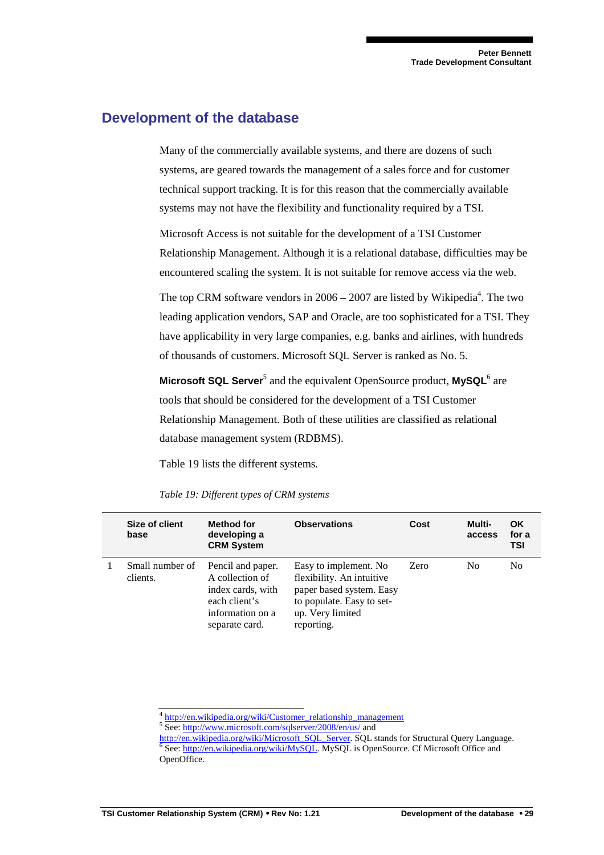## **Development of the database**

Many of the commercially available systems, and there are dozens of such systems, are geared towards the management of a sales force and for customer technical support tracking. It is for this reason that the commercially available systems may not have the flexibility and functionality required by a TSI.

Microsoft Access is not suitable for the development of a TSI Customer Relationship Management. Although it is a relational database, difficulties may be encountered scaling the system. It is not suitable for remove access via the web.

The top CRM software vendors in  $2006 - 2007$  are listed by Wikipedia<sup>4</sup>. The two leading application vendors, SAP and Oracle, are too sophisticated for a TSI. They have applicability in very large companies, e.g. banks and airlines, with hundreds of thousands of customers. Microsoft SQL Server is ranked as No. 5.

**Microsoft SQL Server<sup>5</sup> and the equivalent OpenSource product, MySQL<sup>6</sup> are** tools that should be considered for the development of a TSI Customer Relationship Management. Both of these utilities are classified as relational database management system (RDBMS).

Table 19 lists the different systems.

| Size of client<br>base      | Method for<br>developing a<br><b>CRM System</b>                                                                  | <b>Observations</b>                                                                                                                           | Cost | Multi-<br>access | <b>OK</b><br>for a<br><b>TSI</b> |
|-----------------------------|------------------------------------------------------------------------------------------------------------------|-----------------------------------------------------------------------------------------------------------------------------------------------|------|------------------|----------------------------------|
| Small number of<br>clients. | Pencil and paper.<br>A collection of<br>index cards, with<br>each client's<br>information on a<br>separate card. | Easy to implement. No<br>flexibility. An intuitive<br>paper based system. Easy<br>to populate. Easy to set-<br>up. Very limited<br>reporting. | Zero | N <sub>0</sub>   | N <sub>0</sub>                   |

*Table 19: Different types of CRM systems* 

<sup>4</sup> http://en.wikipedia.org/wiki/Customer\_relationship\_management

<sup>5</sup> See: http://www.microsoft.com/sqlserver/2008/en/us/ and

http://en.wikipedia.org/wiki/Microsoft\_SQL\_Server. SQL stands for Structural Query Language. <sup>6</sup> See: http://en.wikipedia.org/wiki/MySQL. MySQL is OpenSource. Cf Microsoft Office and OpenOffice.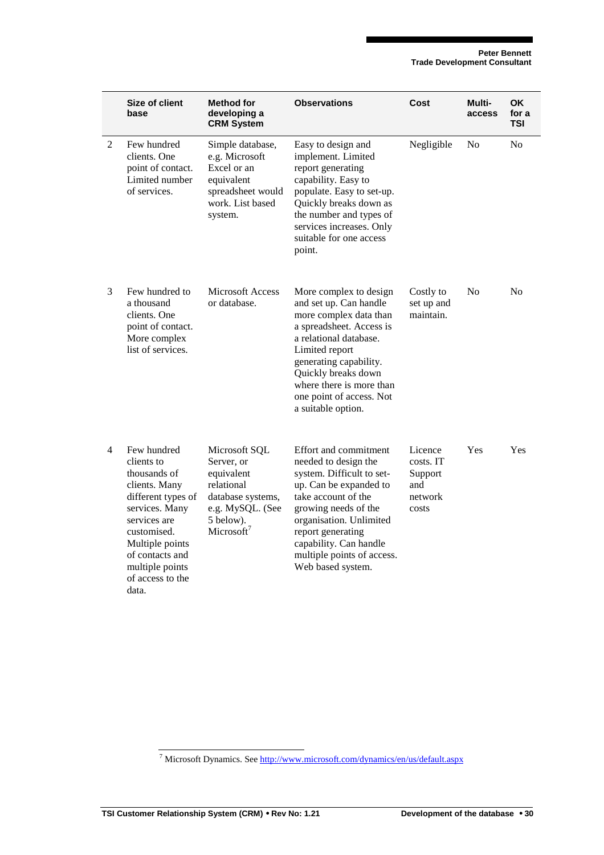|   | Size of client<br>base                                                                                                                                                                                                  | <b>Method for</b><br>developing a<br><b>CRM System</b>                                                                                  | <b>Observations</b>                                                                                                                                                                                                                                                               | Cost                                                       | Multi-<br>access | <b>OK</b><br>for a<br>TSI |
|---|-------------------------------------------------------------------------------------------------------------------------------------------------------------------------------------------------------------------------|-----------------------------------------------------------------------------------------------------------------------------------------|-----------------------------------------------------------------------------------------------------------------------------------------------------------------------------------------------------------------------------------------------------------------------------------|------------------------------------------------------------|------------------|---------------------------|
| 2 | Few hundred<br>clients. One<br>point of contact.<br>Limited number<br>of services.                                                                                                                                      | Simple database,<br>e.g. Microsoft<br>Excel or an<br>equivalent<br>spreadsheet would<br>work. List based<br>system.                     | Easy to design and<br>implement. Limited<br>report generating<br>capability. Easy to<br>populate. Easy to set-up.<br>Quickly breaks down as<br>the number and types of<br>services increases. Only<br>suitable for one access<br>point.                                           | Negligible                                                 | N <sub>0</sub>   | N <sub>0</sub>            |
| 3 | Few hundred to<br>a thousand<br>clients. One<br>point of contact.<br>More complex<br>list of services.                                                                                                                  | <b>Microsoft Access</b><br>or database.                                                                                                 | More complex to design<br>and set up. Can handle<br>more complex data than<br>a spreadsheet. Access is<br>a relational database.<br>Limited report<br>generating capability.<br>Quickly breaks down<br>where there is more than<br>one point of access. Not<br>a suitable option. | Costly to<br>set up and<br>maintain.                       | N <sub>0</sub>   | N <sub>0</sub>            |
| 4 | Few hundred<br>clients to<br>thousands of<br>clients. Many<br>different types of<br>services. Many<br>services are<br>customised.<br>Multiple points<br>of contacts and<br>multiple points<br>of access to the<br>data. | Microsoft SQL<br>Server, or<br>equivalent<br>relational<br>database systems,<br>e.g. MySQL. (See<br>5 below).<br>Microsoft <sup>7</sup> | Effort and commitment<br>needed to design the<br>system. Difficult to set-<br>up. Can be expanded to<br>take account of the<br>growing needs of the<br>organisation. Unlimited<br>report generating<br>capability. Can handle<br>multiple points of access.<br>Web based system.  | Licence<br>costs. IT<br>Support<br>and<br>network<br>costs | Yes              | Yes                       |

<sup>&</sup>lt;sup>7</sup> Microsoft Dynamics. See http://www.microsoft.com/dynamics/en/us/default.aspx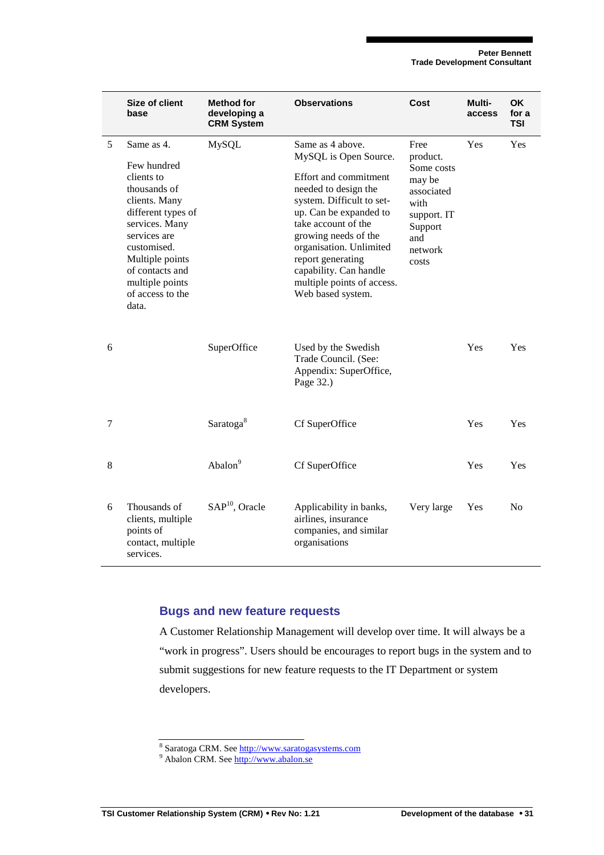|   | Size of client<br>base                                                                                                                                                                                                                | Method for<br>developing a<br><b>CRM System</b> | <b>Observations</b>                                                                                                                                                                                                                                                                                                           | Cost                                                                                                                | Multi-<br>access | OK.<br>for a<br><b>TSI</b> |
|---|---------------------------------------------------------------------------------------------------------------------------------------------------------------------------------------------------------------------------------------|-------------------------------------------------|-------------------------------------------------------------------------------------------------------------------------------------------------------------------------------------------------------------------------------------------------------------------------------------------------------------------------------|---------------------------------------------------------------------------------------------------------------------|------------------|----------------------------|
| 5 | Same as 4.<br>Few hundred<br>clients to<br>thousands of<br>clients. Many<br>different types of<br>services. Many<br>services are<br>customised.<br>Multiple points<br>of contacts and<br>multiple points<br>of access to the<br>data. | <b>MySQL</b>                                    | Same as 4 above.<br>MySQL is Open Source.<br>Effort and commitment<br>needed to design the<br>system. Difficult to set-<br>up. Can be expanded to<br>take account of the<br>growing needs of the<br>organisation. Unlimited<br>report generating<br>capability. Can handle<br>multiple points of access.<br>Web based system. | Free<br>product.<br>Some costs<br>may be<br>associated<br>with<br>support. IT<br>Support<br>and<br>network<br>costs | Yes              | <b>Yes</b>                 |
| 6 |                                                                                                                                                                                                                                       | SuperOffice                                     | Used by the Swedish<br>Trade Council. (See:<br>Appendix: SuperOffice,<br>Page 32.)                                                                                                                                                                                                                                            |                                                                                                                     | Yes              | Yes                        |
| 7 |                                                                                                                                                                                                                                       | Saratoga <sup>8</sup>                           | Cf SuperOffice                                                                                                                                                                                                                                                                                                                |                                                                                                                     | Yes              | Yes                        |
| 8 |                                                                                                                                                                                                                                       | Abalon <sup>9</sup>                             | Cf SuperOffice                                                                                                                                                                                                                                                                                                                |                                                                                                                     | Yes              | Yes                        |
| 6 | Thousands of<br>clients, multiple<br>points of<br>contact, multiple<br>services.                                                                                                                                                      | SAP <sup>10</sup> , Oracle                      | Applicability in banks,<br>airlines, insurance<br>companies, and similar<br>organisations                                                                                                                                                                                                                                     | Very large                                                                                                          | Yes              | N <sub>0</sub>             |

#### **Bugs and new feature requests**

A Customer Relationship Management will develop over time. It will always be a "work in progress". Users should be encourages to report bugs in the system and to submit suggestions for new feature requests to the IT Department or system developers.

<sup>&</sup>lt;sup>8</sup> Saratoga CRM. See http://www.saratogasystems.com<br><sup>9</sup> Abalon CRM. See http://www.abalon.se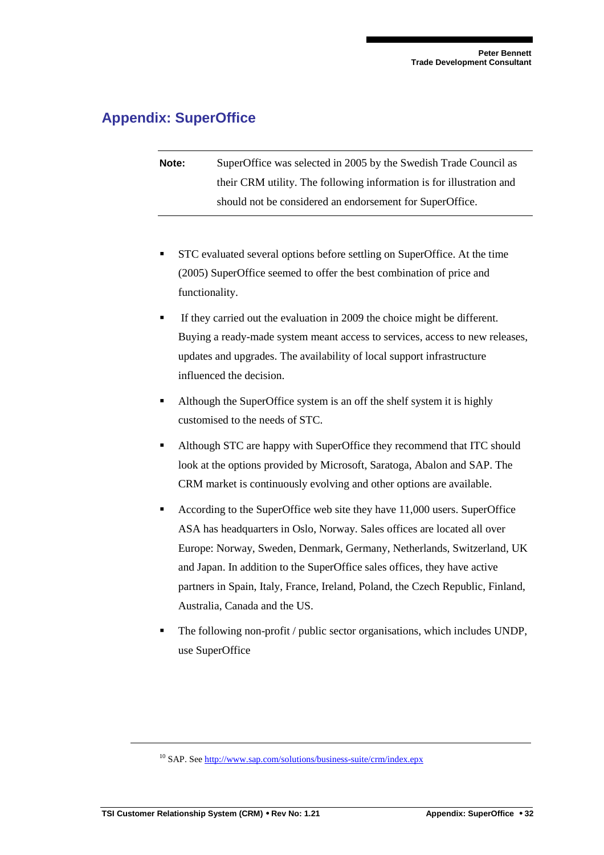# **Appendix: SuperOffice**

**Note:** SuperOffice was selected in 2005 by the Swedish Trade Council as their CRM utility. The following information is for illustration and should not be considered an endorsement for SuperOffice.

- STC evaluated several options before settling on SuperOffice. At the time (2005) SuperOffice seemed to offer the best combination of price and functionality.
- If they carried out the evaluation in 2009 the choice might be different. Buying a ready-made system meant access to services, access to new releases, updates and upgrades. The availability of local support infrastructure influenced the decision.
- Although the SuperOffice system is an off the shelf system it is highly customised to the needs of STC.
- Although STC are happy with SuperOffice they recommend that ITC should look at the options provided by Microsoft, Saratoga, Abalon and SAP. The CRM market is continuously evolving and other options are available.
- According to the SuperOffice web site they have 11,000 users. SuperOffice ASA has headquarters in Oslo, Norway. Sales offices are located all over Europe: Norway, Sweden, Denmark, Germany, Netherlands, Switzerland, UK and Japan. In addition to the SuperOffice sales offices, they have active partners in Spain, Italy, France, Ireland, Poland, the Czech Republic, Finland, Australia, Canada and the US.
- The following non-profit / public sector organisations, which includes UNDP, use SuperOffice

 $\overline{a}$ 

 $10$  SAP. See http://www.sap.com/solutions/business-suite/crm/index.epx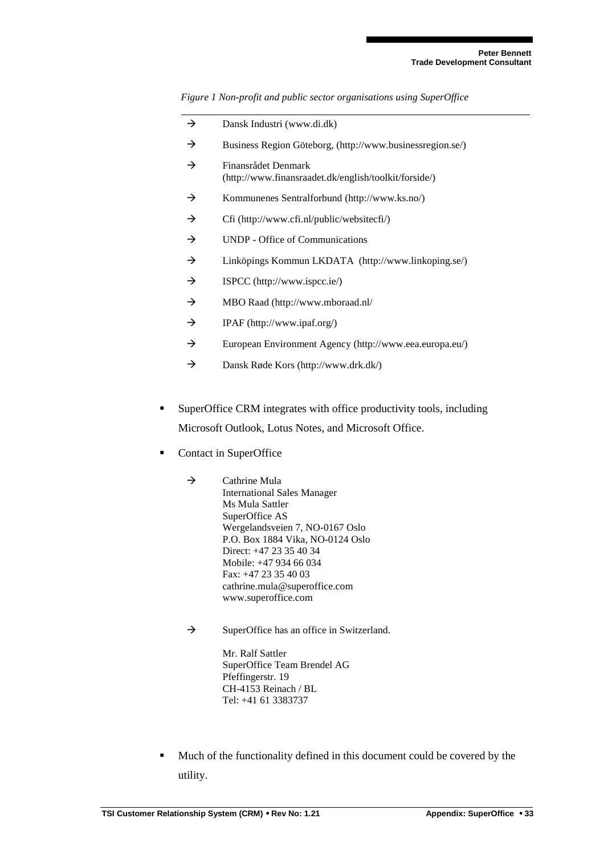*Figure 1 Non-profit and public sector organisations using SuperOffice* 

|   | →             | Dansk Industri (www.di.dk)                                                   |
|---|---------------|------------------------------------------------------------------------------|
|   | $\rightarrow$ | Business Region Göteborg, (http://www.businessregion.se/)                    |
|   | $\rightarrow$ | Finansrådet Denmark<br>(http://www.finansraadet.dk/english/toolkit/forside/) |
|   | $\rightarrow$ | Kommunenes Sentralforbund (http://www.ks.no/)                                |
|   | $\rightarrow$ | Cfi (http://www.cfi.nl/public/websitecfi/)                                   |
|   | $\rightarrow$ | UNDP - Office of Communications                                              |
|   | $\rightarrow$ | Linköpings Kommun LKDATA (http://www.linkoping.se/)                          |
|   | $\rightarrow$ | ISPCC (http://www.ispcc.ie/)                                                 |
|   | $\rightarrow$ | MBO Raad (http://www.mboraad.nl/                                             |
|   | $\rightarrow$ | IPAF (http://www.ipaf.org/)                                                  |
|   | $\rightarrow$ | European Environment Agency (http://www.eea.europa.eu/)                      |
|   | →             | Dansk Røde Kors (http://www.drk.dk/)                                         |
|   |               |                                                                              |
| п |               | SuperOffice CRM integrates with office productivity tools, including         |
|   |               | Microsoft Outlook, Lotus Notes, and Microsoft Office.                        |
|   |               |                                                                              |

- Contact in SuperOffice
	- $\rightarrow$  Cathrine Mula International Sales Manager Ms Mula Sattler SuperOffice AS Wergelandsveien 7, NO-0167 Oslo P.O. Box 1884 Vika, NO-0124 Oslo Direct: +47 23 35 40 34 Mobile: +47 934 66 034 Fax: +47 23 35 40 03 cathrine.mula@superoffice.com www.superoffice.com
	- $\rightarrow$ SuperOffice has an office in Switzerland.

Mr. Ralf Sattler SuperOffice Team Brendel AG Pfeffingerstr. 19 CH-4153 Reinach / BL Tel: +41 61 3383737

Much of the functionality defined in this document could be covered by the utility.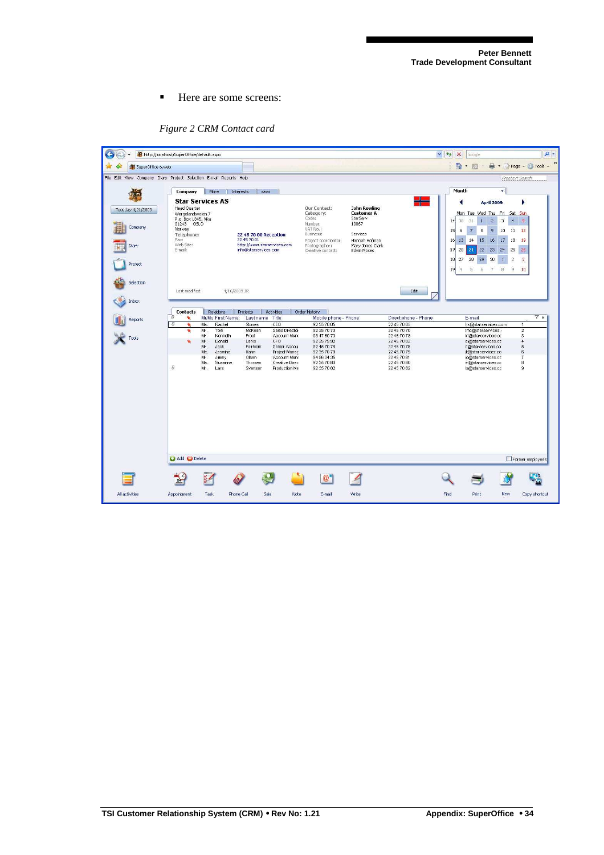Here are some screens:

| SuperOffice 6.web                                                  | 制 http://localhost/SuperOffice/default.aspx                                                        |                                                                                                |                                                                                                     |                                                                                |                                                                                        |                                                               |                                                                                        | $\ddot{r}$<br>$\checkmark$<br>$\times$<br>Google<br>$\wedge$ $\Box$                                                                        | den - Fill Page - Ol Tools -                                                       |
|--------------------------------------------------------------------|----------------------------------------------------------------------------------------------------|------------------------------------------------------------------------------------------------|-----------------------------------------------------------------------------------------------------|--------------------------------------------------------------------------------|----------------------------------------------------------------------------------------|---------------------------------------------------------------|----------------------------------------------------------------------------------------|--------------------------------------------------------------------------------------------------------------------------------------------|------------------------------------------------------------------------------------|
| File Edit View Company Diary Project Selection E-mail Reports Help |                                                                                                    |                                                                                                |                                                                                                     |                                                                                |                                                                                        |                                                               |                                                                                        |                                                                                                                                            | <b>Freetext Search</b>                                                             |
| Tuesday 4/21/2009<br>Company                                       | Company<br><b>Head Quarter</b><br>Wergelandsveien 7<br>P.o. Box 1345, Vika<br>01243 OSLO<br>Norway | More<br><b>Star Services AS</b>                                                                | Interests<br><b>WWW</b>                                                                             |                                                                                | <b>Our Contact:</b><br>Category:<br>Code:<br>Number:<br>VAT No.:                       | <b>John Rowling</b><br><b>Customer A</b><br>StarServ<br>10067 | 돼                                                                                      | Month<br><b>April 2009</b><br>Mon Tue Wed Thu Fri Sat Sun<br>30<br>$\mathbf{z}$<br>31<br>$\mathbf{1}$<br>14<br>9<br>15<br>6<br>7<br>8      | ь<br>$\overline{\mathbf{3}}$<br>5 <sub>2</sub><br>$\overline{4}$<br>10<br>12<br>11 |
| Diary<br>Project                                                   | Telephone:<br>Fax:<br>Web Site:<br>E-mail:                                                         |                                                                                                | <b>22 45 70 00 Reception</b><br>22 45 70 01<br>http://www.starservices.com<br>info@starservices.com |                                                                                | Business:<br>Project coordinator:<br>Photographer:<br>Creative contact:                | Services<br>Hannah Hofman<br>Mary Jones Clark<br>Edvin Moses  |                                                                                        | 13 <sup>°</sup><br>15<br>16<br>14<br>16<br>22<br>20<br>23<br>21<br>17<br>27<br>28<br>29<br>30<br>18<br>19<br>5<br>6<br>7<br>$\frac{14}{2}$ | 17<br>18<br>19<br>24<br>25<br>26<br>$\overline{2}$<br>3<br>9<br>10<br>8            |
| Selection<br>Inbox                                                 | Last modified:                                                                                     |                                                                                                | 4/16/2009 JR                                                                                        |                                                                                |                                                                                        |                                                               | Edit                                                                                   |                                                                                                                                            |                                                                                    |
|                                                                    | <b>Contacts</b>                                                                                    | Relations                                                                                      | Projects                                                                                            | Activities                                                                     | Order history                                                                          |                                                               |                                                                                        |                                                                                                                                            |                                                                                    |
| <b>Reports</b>                                                     | B<br>٠<br>B                                                                                        | Mr/Ms First Name                                                                               | Last name                                                                                           | Title                                                                          | Mobile phone - Phone                                                                   |                                                               | Direct phone - Phone                                                                   | E-mail                                                                                                                                     |                                                                                    |
| Tools                                                              | ٠                                                                                                  | Rachel<br>Ms<br>Mr.<br>Tom<br>Mr.<br>Kenneth<br>Mr.<br>Donald<br>Mr.<br>Jack<br>Ms.<br>Jasmine | Stones<br>McKean<br>Frost<br>Larks<br>Fairholm<br>Kahn                                              | CEO.<br>Sales Director<br>Account Mana<br>CFO<br>Senior Accou<br>Project Manac | 92 35 70 05<br>92 35 70 70<br>93 47 50 73<br>92 35 79 92<br>92 45 70 78<br>92 35 70 79 |                                                               | 22 45 70 05<br>22 45 70 70<br>22 45 70 73<br>22 45 70 02<br>22 45 70 78<br>22 45 70 79 | hs@starservices.com<br>Imc@starservices<br>kf@starservices.cc<br>dl@starservices.cc<br>if@starservices.co<br>jk@starservices.co            | $\lambda$<br>$\overline{2}$<br>3<br>$\overline{a}$<br>5<br>6                       |
|                                                                    | $\theta$                                                                                           | Mr.<br>Jimmy<br>Ms.<br>Susanne<br>Mr.<br>Lars                                                  | Olsen<br>Thorsen<br>Svenser                                                                         | Account Mans<br>Creative Direc<br>Production Ma                                | 94 56 34 35<br>92 35 70 80<br>92 35 70 82                                              |                                                               | 22 45 70 81<br>22 45 70 80<br>22 45 70 82                                              | jo@starservices.cc<br>st@starservices.cc<br>Is@starservices.cc                                                                             | 7<br>8<br>9                                                                        |
|                                                                    |                                                                                                    |                                                                                                |                                                                                                     |                                                                                |                                                                                        |                                                               |                                                                                        |                                                                                                                                            |                                                                                    |
|                                                                    |                                                                                                    |                                                                                                |                                                                                                     |                                                                                |                                                                                        |                                                               |                                                                                        |                                                                                                                                            |                                                                                    |
|                                                                    | Add O Delete                                                                                       | 4311101                                                                                        |                                                                                                     |                                                                                |                                                                                        |                                                               |                                                                                        |                                                                                                                                            | Former employees                                                                   |
|                                                                    | 2 <sup>2</sup>                                                                                     | $\frac{1}{2}$                                                                                  |                                                                                                     |                                                                                | $\circledR$                                                                            |                                                               |                                                                                        |                                                                                                                                            |                                                                                    |

*Figure 2 CRM Contact card*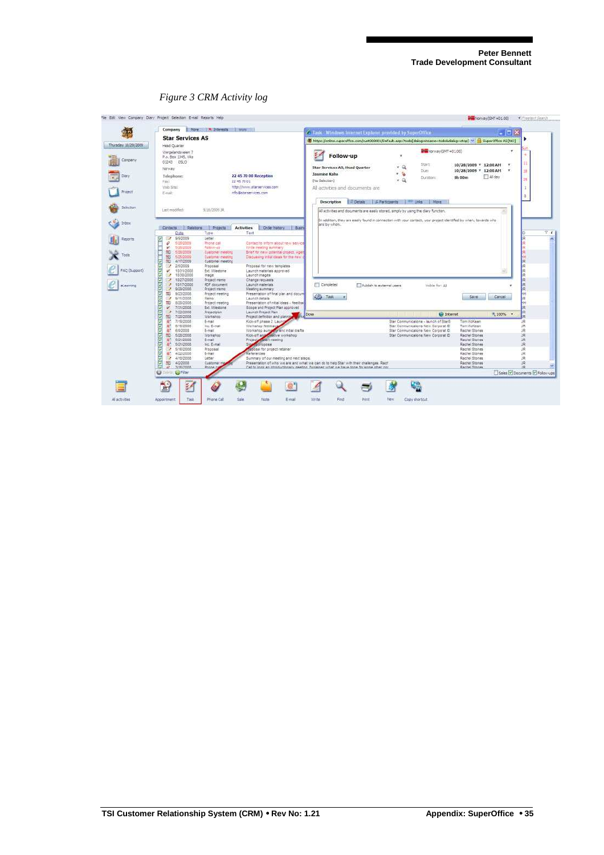

#### *Figure 3 CRM Activity log*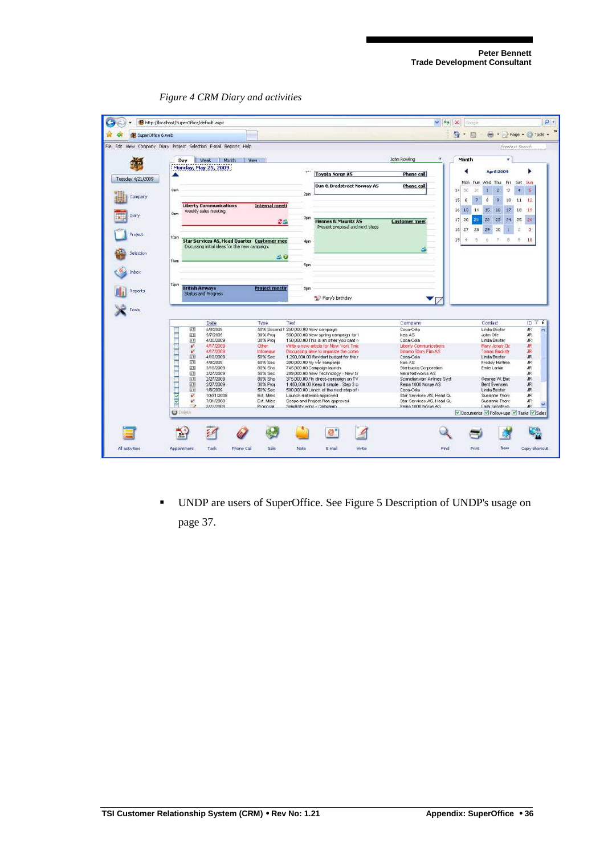

*Figure 4 CRM Diary and activities* 

 UNDP are users of SuperOffice. See Figure 5 Description of UNDP's usage on page 37.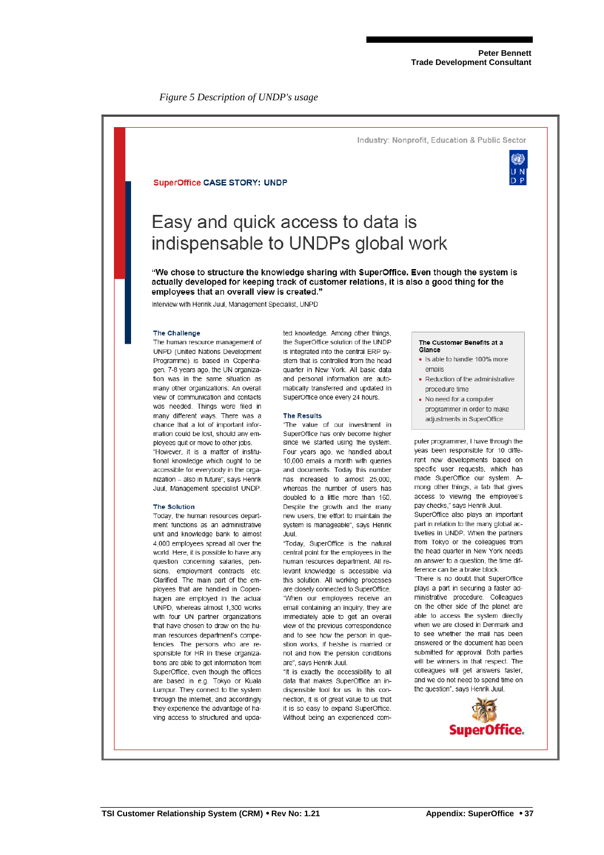*Figure 5 Description of UNDP's usage* 

#### Industry: Nonprofit, Education & Public Sector

#### **SuperOffice CASE STORY: UNDP**

# Easy and quick access to data is indispensable to UNDPs global work

"We chose to structure the knowledge sharing with SuperOffice. Even though the system is actually developed for keeping track of customer relations, it is also a good thing for the employees that an overall view is created."

Interview with Henrik Juul, Management Specialist, UNPD

#### **The Challenge**

The human resource management of UNPD (United Nations Development Programme) is based in Copenhagen. 7-8 years ago, the UN organization was in the same situation as many other organizations: An overall view of communication and contacts was needed. Things were filed in many different ways. There was a chance that a lot of important information could be lost, should any employees quit or move to other jobs

"However if is a matter of institutional knowledge which ought to be accessible for everybody in the organization - also in future", says Henrik Juul Management specialist UNDP

#### The Solution

Today, the human resources department functions as an administrative unit and knowledge bank to almost 4,000 employees spread all over the world. Here, it is possible to have any question concerning salaries, pensions, employment contracts etc. Clarified. The main part of the employees that are handled in Copenhagen are employed in the actual UNPD, whereas almost 1,300 works with four UN partner organizations that have chosen to draw on the human resources department's competencies. The persons who are responsible for HR in these organizations are able to get information from SuperOffice, even though the offices are based in e.g. Tokyo or Kuala Lumpur. They connect to the system through the internet and accordingly they experience the advantage of having access to structured and updated knowledge. Among other things, the SuperOffice solution of the UNDP is integrated into the central ERP system that is controlled from the head quarter in New York. All basic data and personal information are automatically transferred and updated in SuperOffice once every 24 hours.

#### **The Results**

"The value of our investment in SuperOffice has only become higher since we started using the system. Four years ago, we handled about 10,000 emails a month with queries and documents. Today this number has increased to almost 25,000, whereas the number of users has doubled to a little more than 160 Despite the growth and the many new users, the effort to maintain the system is manageable", says Henrik Juul

"Today. SuperOffice is the natural central point for the employees in the human resources department. All relevant knowledge is accessible via this solution. All working processes are closely connected to SuperOffice. "When our employees receive an email containing an inquiry, they are immediately able to get an overall view of the previous correspondence and to see how the person in question works if he/she is married or not and how the pension conditions are", savs Henrik Juul.

"It is exactly the accessibility to all data that makes SuperOffice an indispensible tool for us. In this connection it is of great value to us that it is so easy to expand SuperOffice. Without being an experienced com-

#### The Customer Benefits at a Glance

- . Is able to handle 100% more emails
- Reduction of the administrative procedure time
- No need for a computer programmer in order to make adjustments in SuperOffice

puter programmer, I have through the yeas been responsible for 10 different new developments based on specific user requests, which has made SuperOffice our system. Among other things, a tab that gives access to viewing the employee's pay checks." says Henrik Juul.

SuperOffice also plays an important part in relation to the many global activeties in UNDP. When the partners from Tokyo or the colleagues from the head quarter in New York needs an answer to a question the time difference can be a brake block

"There is no doubt that SuperOffice plays a part in securing a faster administrative procedure. Colleagues on the other side of the planet are able to access the system directly when we are closed in Denmark and to see whether the mail has been answered or the document has been submitted for approval. Both parties will be winners in that respect. The colleagues will get answers faster, and we do not need to spend time on the question", says Henrik Juul.